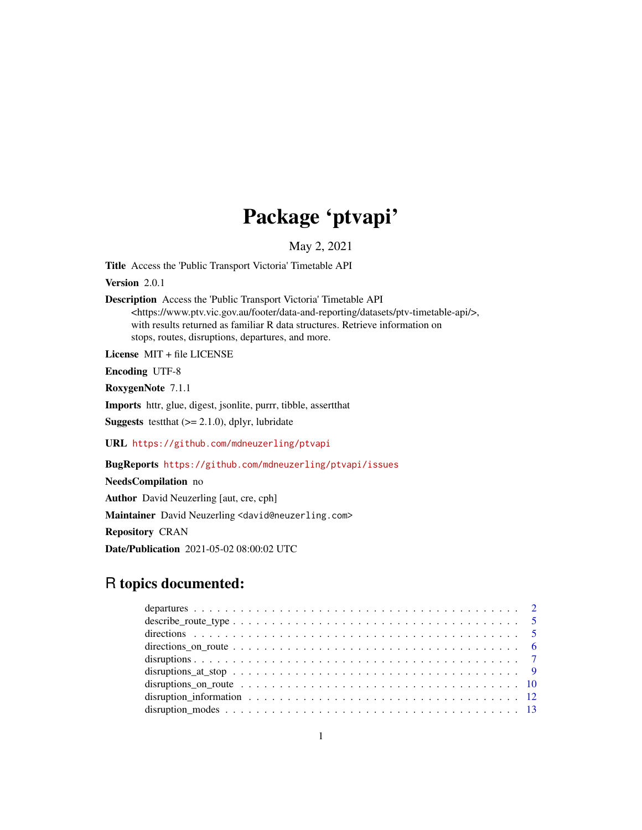# Package 'ptvapi'

May 2, 2021

Title Access the 'Public Transport Victoria' Timetable API

Version 2.0.1

Description Access the 'Public Transport Victoria' Timetable API <https://www.ptv.vic.gov.au/footer/data-and-reporting/datasets/ptv-timetable-api/>, with results returned as familiar R data structures. Retrieve information on stops, routes, disruptions, departures, and more.

License MIT + file LICENSE

Encoding UTF-8

RoxygenNote 7.1.1

Imports httr, glue, digest, jsonlite, purrr, tibble, assertthat **Suggests** test that  $(>= 2.1.0)$ , dplyr, lubridate

URL <https://github.com/mdneuzerling/ptvapi>

BugReports <https://github.com/mdneuzerling/ptvapi/issues>

NeedsCompilation no

Author David Neuzerling [aut, cre, cph]

Maintainer David Neuzerling <david@neuzerling.com>

Repository CRAN

Date/Publication 2021-05-02 08:00:02 UTC

# R topics documented: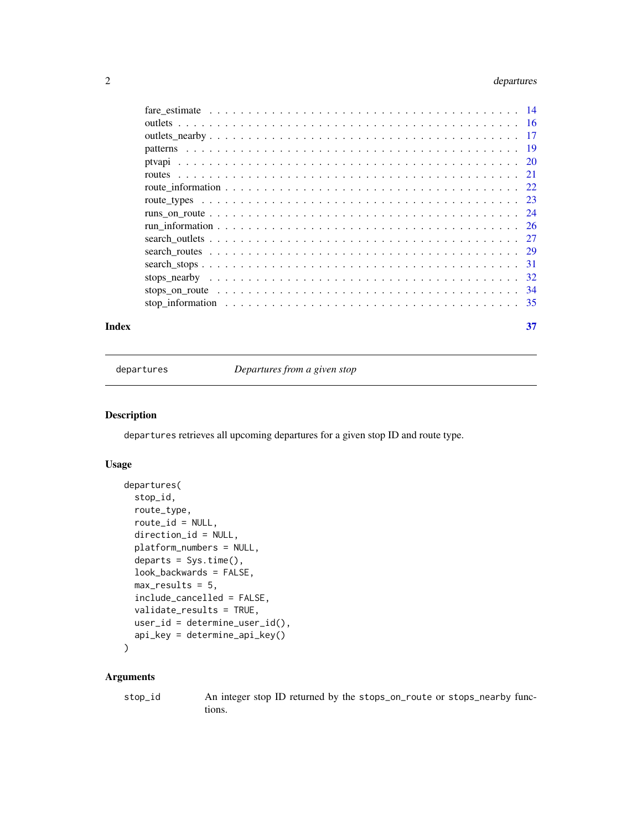# <span id="page-1-0"></span>2 departures

| Index | 37 |
|-------|----|
|       |    |
|       |    |
|       |    |
|       |    |
|       |    |
|       |    |
|       |    |
|       |    |
|       |    |
|       |    |
|       |    |
|       |    |
|       |    |
|       |    |
|       |    |
|       |    |

<span id="page-1-1"></span>departures *Departures from a given stop*

#### Description

departures retrieves all upcoming departures for a given stop ID and route type.

#### Usage

```
departures(
  stop_id,
  route_type,
  route_id = NULL,direction_id = NULL,
 platform_numbers = NULL,
  departs = Sys.time(),
  look_backwards = FALSE,
 max\_results = 5,
  include_cancelled = FALSE,
 validate_results = TRUE,
 user_id = determine_user_id(),
  api_key = determine_api_key()
)
```
#### Arguments

stop\_id An integer stop ID returned by the stops\_on\_route or stops\_nearby functions.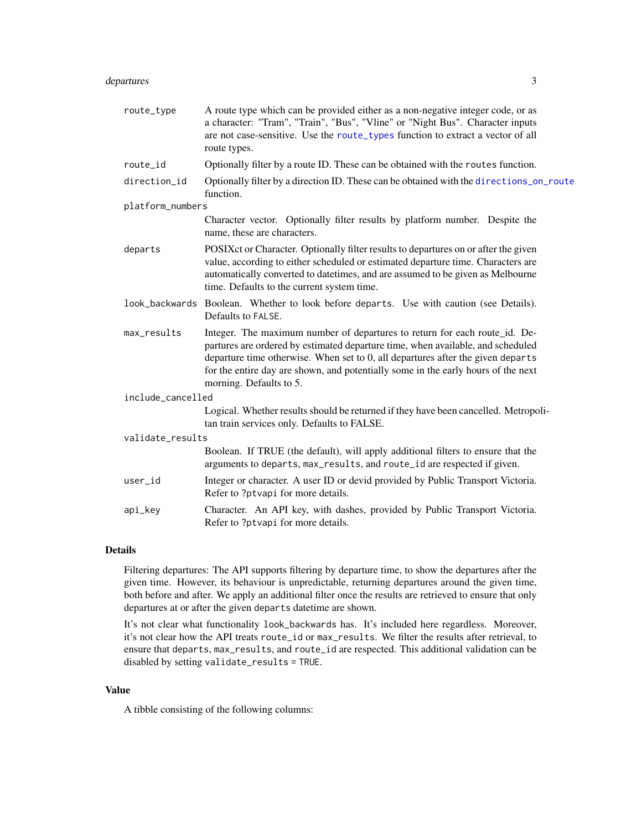# <span id="page-2-0"></span>departures 3

| route_type        | A route type which can be provided either as a non-negative integer code, or as<br>a character: "Tram", "Train", "Bus", "Vline" or "Night Bus". Character inputs<br>are not case-sensitive. Use the route_types function to extract a vector of all<br>route types.                                                                                              |  |
|-------------------|------------------------------------------------------------------------------------------------------------------------------------------------------------------------------------------------------------------------------------------------------------------------------------------------------------------------------------------------------------------|--|
| route_id          | Optionally filter by a route ID. These can be obtained with the routes function.                                                                                                                                                                                                                                                                                 |  |
| direction_id      | Optionally filter by a direction ID. These can be obtained with the directions_on_route<br>function.                                                                                                                                                                                                                                                             |  |
| platform_numbers  |                                                                                                                                                                                                                                                                                                                                                                  |  |
|                   | Character vector. Optionally filter results by platform number. Despite the<br>name, these are characters.                                                                                                                                                                                                                                                       |  |
| departs           | POSIXct or Character. Optionally filter results to departures on or after the given<br>value, according to either scheduled or estimated departure time. Characters are<br>automatically converted to date times, and are assumed to be given as Melbourne<br>time. Defaults to the current system time.                                                         |  |
|                   | look_backwards Boolean. Whether to look before departs. Use with caution (see Details).<br>Defaults to FALSE.                                                                                                                                                                                                                                                    |  |
| max_results       | Integer. The maximum number of departures to return for each route_id. De-<br>partures are ordered by estimated departure time, when available, and scheduled<br>departure time otherwise. When set to 0, all departures after the given departs<br>for the entire day are shown, and potentially some in the early hours of the next<br>morning. Defaults to 5. |  |
| include_cancelled |                                                                                                                                                                                                                                                                                                                                                                  |  |
|                   | Logical. Whether results should be returned if they have been cancelled. Metropoli-<br>tan train services only. Defaults to FALSE.                                                                                                                                                                                                                               |  |
| validate_results  |                                                                                                                                                                                                                                                                                                                                                                  |  |
|                   | Boolean. If TRUE (the default), will apply additional filters to ensure that the<br>arguments to departs, max_results, and route_id are respected if given.                                                                                                                                                                                                      |  |
| user_id           | Integer or character. A user ID or devid provided by Public Transport Victoria.<br>Refer to ?ptvapi for more details.                                                                                                                                                                                                                                            |  |
| api_key           | Character. An API key, with dashes, provided by Public Transport Victoria.<br>Refer to ?ptvapi for more details.                                                                                                                                                                                                                                                 |  |

#### Details

Filtering departures: The API supports filtering by departure time, to show the departures after the given time. However, its behaviour is unpredictable, returning departures around the given time, both before and after. We apply an additional filter once the results are retrieved to ensure that only departures at or after the given departs datetime are shown.

It's not clear what functionality look\_backwards has. It's included here regardless. Moreover, it's not clear how the API treats route\_id or max\_results. We filter the results after retrieval, to ensure that departs, max\_results, and route\_id are respected. This additional validation can be disabled by setting validate\_results = TRUE.

#### Value

A tibble consisting of the following columns: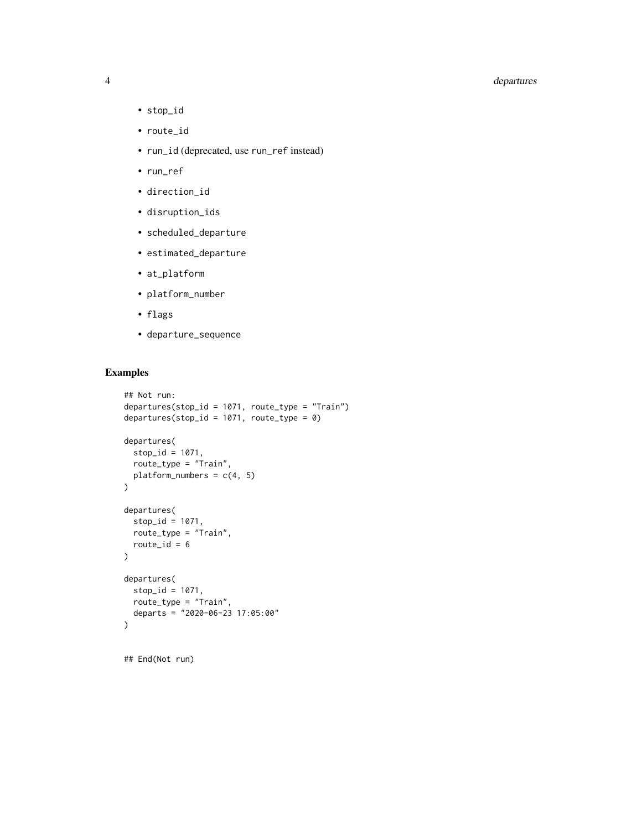# 4 departures

- 
- stop\_id • route\_id
- run\_id (deprecated, use run\_ref instead)
- run\_ref
- direction\_id
- disruption\_ids
- scheduled\_departure
- estimated\_departure
- at\_platform
- platform\_number
- flags
- departure\_sequence

# Examples

```
## Not run:
departures(stop_id = 1071, route_type = "Train")
departures(stop_id = 1071, route_type = 0)
departures(
 stop_id = 1071,route_type = "Train",
 platform_numbers = c(4, 5)\lambdadepartures(
 stop_id = 1071,
 route_type = "Train",
  route_id = 6)
departures(
 stop_id = 1071,
  route_type = "Train",
  departs = "2020-06-23 17:05:00"
)
```
## End(Not run)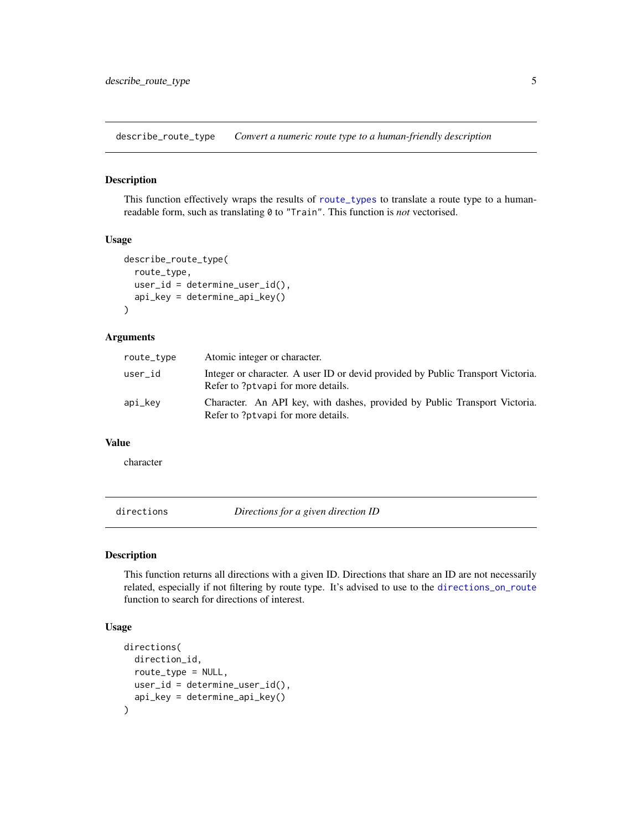<span id="page-4-0"></span>describe\_route\_type *Convert a numeric route type to a human-friendly description*

#### Description

This function effectively wraps the results of [route\\_types](#page-22-1) to translate a route type to a humanreadable form, such as translating 0 to "Train". This function is *not* vectorised.

#### Usage

```
describe_route_type(
  route_type,
 user_id = determine_user_id(),api_key = determine_api_key()
\lambda
```
#### Arguments

| route_type | Atomic integer or character.                                                                                          |
|------------|-----------------------------------------------------------------------------------------------------------------------|
| user_id    | Integer or character. A user ID or devid provided by Public Transport Victoria.<br>Refer to ?ptvapi for more details. |
| api_key    | Character. An API key, with dashes, provided by Public Transport Victoria.<br>Refer to ?ptvapi for more details.      |

#### Value

character

directions *Directions for a given direction ID*

#### Description

This function returns all directions with a given ID. Directions that share an ID are not necessarily related, especially if not filtering by route type. It's advised to use to the [directions\\_on\\_route](#page-5-1) function to search for directions of interest.

```
directions(
  direction_id,
  route_type = NULL,
  user_id = determine_user_id(),
  api_key = determine_api_key()
\mathcal{E}
```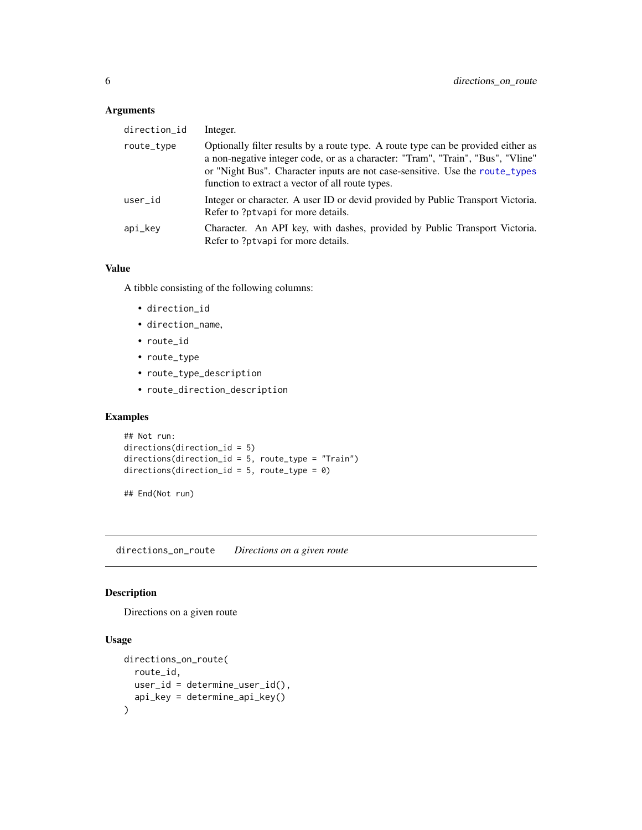#### <span id="page-5-0"></span>Arguments

| direction_id | Integer.                                                                                                                                                                                                                                                                                                 |
|--------------|----------------------------------------------------------------------------------------------------------------------------------------------------------------------------------------------------------------------------------------------------------------------------------------------------------|
| route_type   | Optionally filter results by a route type. A route type can be provided either as<br>a non-negative integer code, or as a character: "Tram", "Train", "Bus", "Vline"<br>or "Night Bus". Character inputs are not case-sensitive. Use the route_types<br>function to extract a vector of all route types. |
| user_id      | Integer or character. A user ID or devid provided by Public Transport Victoria.<br>Refer to ?ptvapi for more details.                                                                                                                                                                                    |
| api_kev      | Character. An API key, with dashes, provided by Public Transport Victoria.<br>Refer to ?ptvapi for more details.                                                                                                                                                                                         |

#### Value

A tibble consisting of the following columns:

- direction\_id
- direction\_name,
- route\_id
- route\_type
- route\_type\_description
- route\_direction\_description

# Examples

```
## Not run:
directions(direction_id = 5)
directions(direction_id = 5, route_type = "Train")
directions(direction_id = 5, route_type = \theta)
```
## End(Not run)

<span id="page-5-1"></span>directions\_on\_route *Directions on a given route*

# Description

Directions on a given route

```
directions_on_route(
  route_id,
  user_id = determine_user_id(),
  api_key = determine_api_key()
\mathcal{E}
```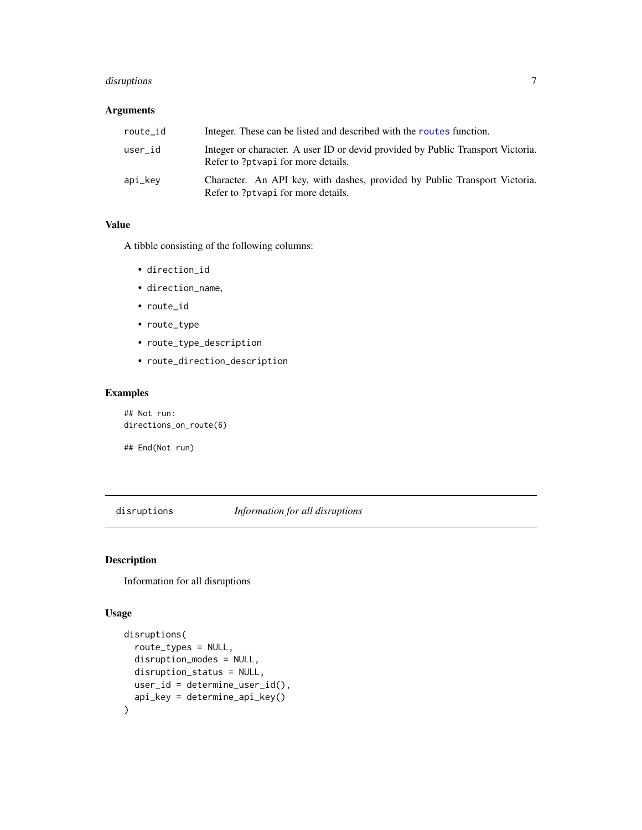# <span id="page-6-0"></span>disruptions 7

#### Arguments

| route_id | Integer. These can be listed and described with the routes function.                                                  |
|----------|-----------------------------------------------------------------------------------------------------------------------|
| user id  | Integer or character. A user ID or devid provided by Public Transport Victoria.<br>Refer to ?ptvapi for more details. |
| api_kev  | Character. An API key, with dashes, provided by Public Transport Victoria.<br>Refer to ?ptvapi for more details.      |

#### Value

A tibble consisting of the following columns:

- direction\_id
- direction\_name,
- route\_id
- route\_type
- route\_type\_description
- route\_direction\_description

# Examples

## Not run: directions\_on\_route(6)

## End(Not run)

disruptions *Information for all disruptions*

# Description

Information for all disruptions

```
disruptions(
  route_types = NULL,
 disruption_modes = NULL,
 disruption_status = NULL,
 user_id = determine_user_id(),
  api_key = determine_api_key()
\mathcal{E}
```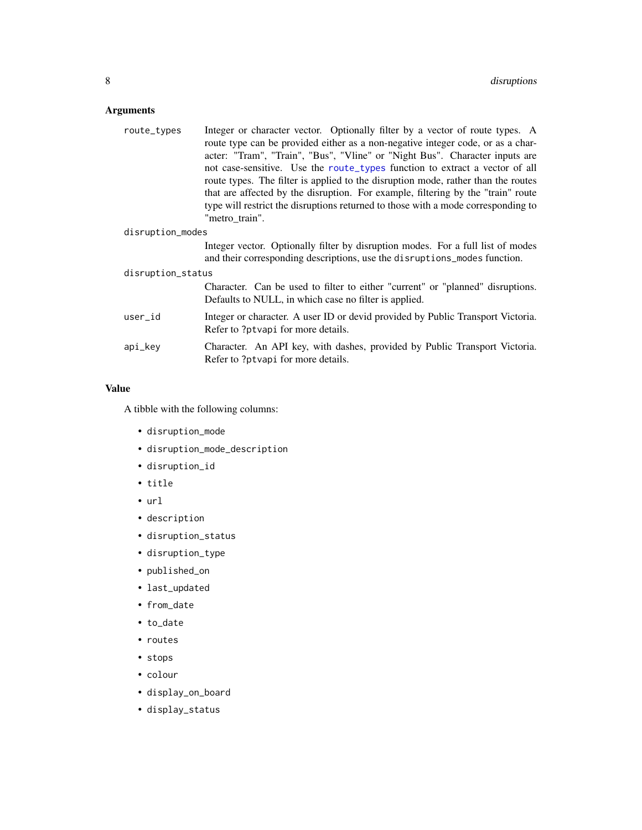# <span id="page-7-0"></span>Arguments

| route_types       | Integer or character vector. Optionally filter by a vector of route types. A                                                                                 |  |
|-------------------|--------------------------------------------------------------------------------------------------------------------------------------------------------------|--|
|                   | route type can be provided either as a non-negative integer code, or as a char-                                                                              |  |
|                   | acter: "Tram", "Train", "Bus", "Vline" or "Night Bus". Character inputs are                                                                                  |  |
|                   | not case-sensitive. Use the route_types function to extract a vector of all                                                                                  |  |
|                   | route types. The filter is applied to the disruption mode, rather than the routes                                                                            |  |
|                   | that are affected by the disruption. For example, filtering by the "train" route                                                                             |  |
|                   | type will restrict the disruptions returned to those with a mode corresponding to<br>"metro train".                                                          |  |
| disruption_modes  |                                                                                                                                                              |  |
|                   | Integer vector. Optionally filter by disruption modes. For a full list of modes<br>and their corresponding descriptions, use the disruptions_modes function. |  |
| disruption_status |                                                                                                                                                              |  |
|                   | Character. Can be used to filter to either "current" or "planned" disruptions.<br>Defaults to NULL, in which case no filter is applied.                      |  |
| user_id           | Integer or character. A user ID or devide provided by Public Transport Victoria.<br>Refer to ?ptvapi for more details.                                       |  |
| api_key           | Character. An API key, with dashes, provided by Public Transport Victoria.<br>Refer to ?ptvapi for more details.                                             |  |
|                   |                                                                                                                                                              |  |

# Value

A tibble with the following columns:

- disruption\_mode
- disruption\_mode\_description
- disruption\_id
- title
- url
- description
- disruption\_status
- disruption\_type
- published\_on
- last\_updated
- from\_date
- to\_date
- routes
- stops
- colour
- display\_on\_board
- display\_status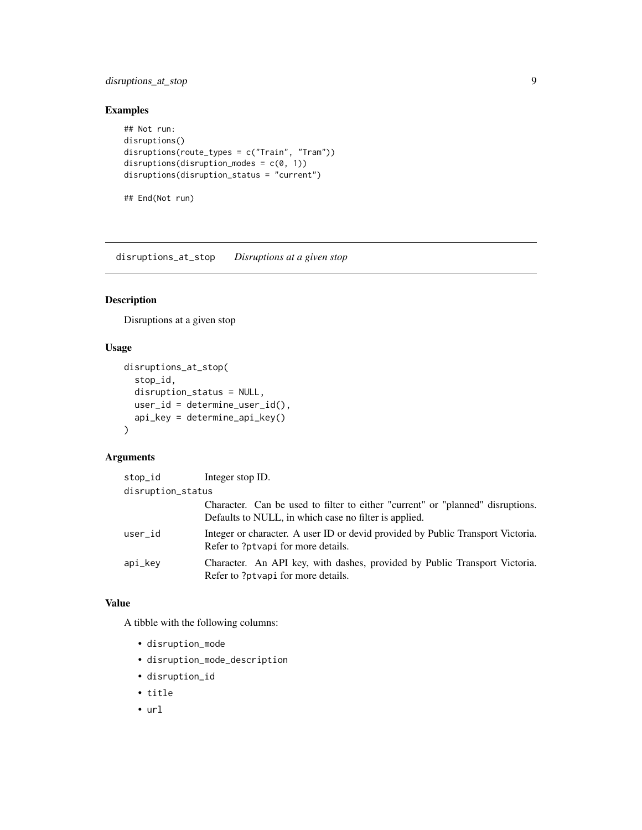# <span id="page-8-0"></span>disruptions\_at\_stop 9

# Examples

```
## Not run:
disruptions()
disruptions(route_types = c("Train", "Tram"))
disruptions(disruption_modes = c(\theta, 1))
disruptions(disruption_status = "current")
## End(Not run)
```
disruptions\_at\_stop *Disruptions at a given stop*

# Description

Disruptions at a given stop

#### Usage

```
disruptions_at_stop(
  stop_id,
  disruption_status = NULL,
 user_id = determine_user_id(),
  api_key = determine_api_key()
)
```
#### Arguments

| stop_id           | Integer stop ID.                                                                                                                        |
|-------------------|-----------------------------------------------------------------------------------------------------------------------------------------|
| disruption_status |                                                                                                                                         |
|                   | Character. Can be used to filter to either "current" or "planned" disruptions.<br>Defaults to NULL, in which case no filter is applied. |
| user_id           | Integer or character. A user ID or devid provided by Public Transport Victoria.<br>Refer to ?ptvapi for more details.                   |
| api_key           | Character. An API key, with dashes, provided by Public Transport Victoria.<br>Refer to ?ptvapi for more details.                        |

#### Value

A tibble with the following columns:

- disruption\_mode
- disruption\_mode\_description
- disruption\_id
- title
- url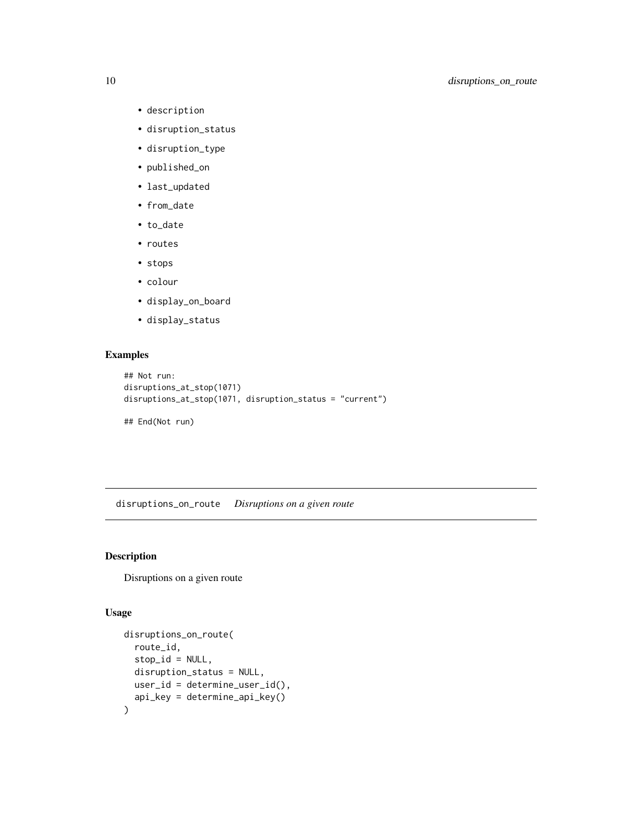- description
- disruption\_status
- disruption\_type
- published\_on
- last\_updated
- from\_date
- to\_date
- routes
- stops
- colour
- display\_on\_board
- display\_status

# Examples

```
## Not run:
disruptions_at_stop(1071)
disruptions_at_stop(1071, disruption_status = "current")
```
## End(Not run)

disruptions\_on\_route *Disruptions on a given route*

# Description

Disruptions on a given route

```
disruptions_on_route(
  route_id,
 stop_id = NULL,disruption_status = NULL,
 user_id = determine_user_id(),
  api_key = determine_api_key()
\mathcal{E}
```
<span id="page-9-0"></span>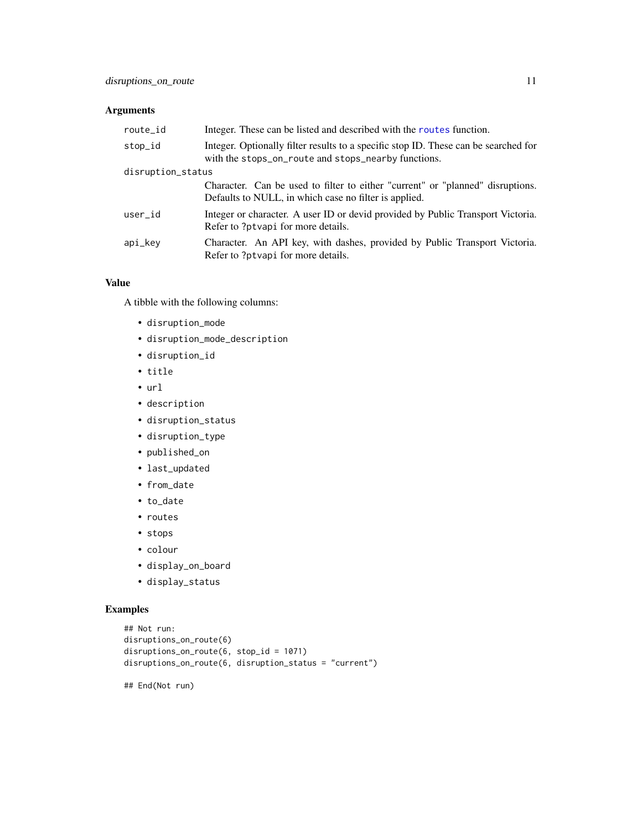# <span id="page-10-0"></span>Arguments

| route_id          | Integer. These can be listed and described with the routes function.                                                                       |
|-------------------|--------------------------------------------------------------------------------------------------------------------------------------------|
| stop_id           | Integer. Optionally filter results to a specific stop ID. These can be searched for<br>with the stops_on_route and stops_nearby functions. |
| disruption_status |                                                                                                                                            |
|                   | Character. Can be used to filter to either "current" or "planned" disruptions.                                                             |
|                   | Defaults to NULL, in which case no filter is applied.                                                                                      |
| user_id           | Integer or character. A user ID or devid provided by Public Transport Victoria.<br>Refer to ?ptvapi for more details.                      |
| api_key           | Character. An API key, with dashes, provided by Public Transport Victoria.<br>Refer to ?ptvapi for more details.                           |

# Value

A tibble with the following columns:

- disruption\_mode
- disruption\_mode\_description
- disruption\_id
- title
- url
- description
- disruption\_status
- disruption\_type
- published\_on
- last\_updated
- from\_date
- to\_date
- routes
- stops
- colour
- display\_on\_board
- display\_status

# Examples

```
## Not run:
disruptions_on_route(6)
disruptions_on_route(6, stop_id = 1071)
disruptions_on_route(6, disruption_status = "current")
```
## End(Not run)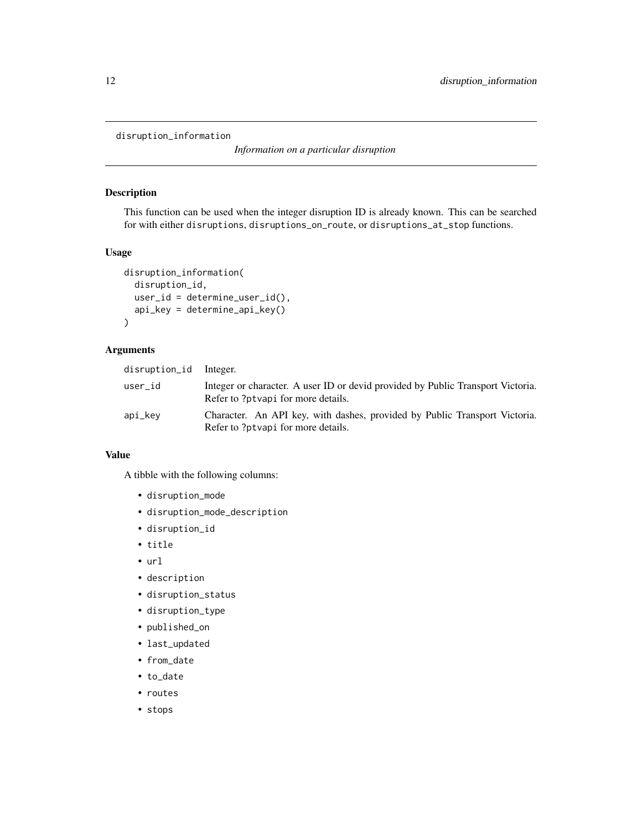<span id="page-11-0"></span>disruption\_information

*Information on a particular disruption*

#### Description

This function can be used when the integer disruption ID is already known. This can be searched for with either disruptions, disruptions\_on\_route, or disruptions\_at\_stop functions.

# Usage

```
disruption_information(
  disruption_id,
  user_id = determine_user_id(),
  api_key = determine_api_key()
\mathcal{L}
```
#### Arguments

| disruption_id Integer. |                                                                                                                       |
|------------------------|-----------------------------------------------------------------------------------------------------------------------|
| user_id                | Integer or character. A user ID or devid provided by Public Transport Victoria.<br>Refer to ?ptvapi for more details. |
| api_kev                | Character. An API key, with dashes, provided by Public Transport Victoria.<br>Refer to ?ptvapi for more details.      |

# Value

A tibble with the following columns:

- disruption\_mode
- disruption\_mode\_description
- disruption\_id
- title
- url
- description
- disruption\_status
- disruption\_type
- published\_on
- last\_updated
- from\_date
- to\_date
- routes
- stops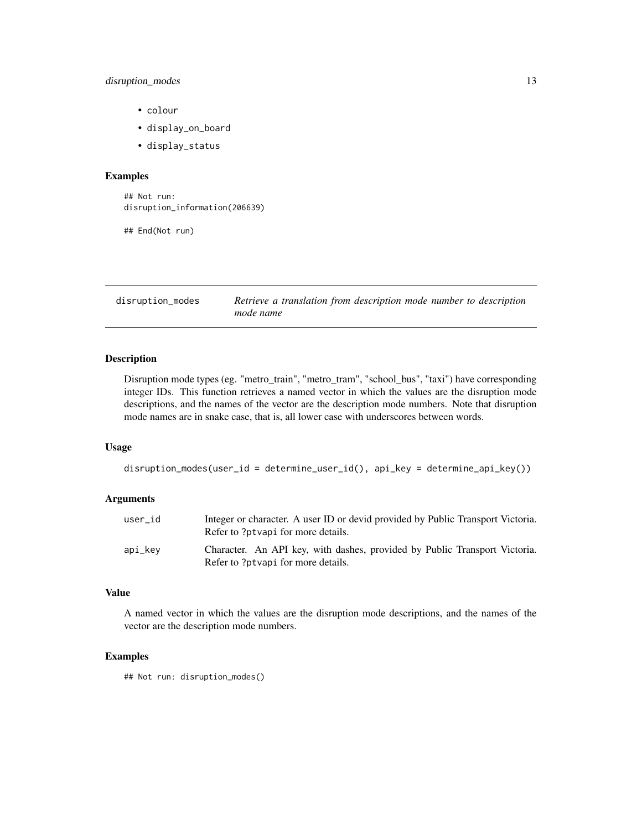# <span id="page-12-0"></span>disruption\_modes 13

- colour
- display\_on\_board
- display\_status

#### Examples

## Not run: disruption\_information(206639)

## End(Not run)

disruption\_modes *Retrieve a translation from description mode number to description mode name*

#### Description

Disruption mode types (eg. "metro\_train", "metro\_tram", "school\_bus", "taxi") have corresponding integer IDs. This function retrieves a named vector in which the values are the disruption mode descriptions, and the names of the vector are the description mode numbers. Note that disruption mode names are in snake case, that is, all lower case with underscores between words.

#### Usage

```
disruption_modes(user_id = determine_user_id(), api_key = determine_api_key())
```
# Arguments

| user id | Integer or character. A user ID or devid provided by Public Transport Victoria.<br>Refer to ?ptvapi for more details. |
|---------|-----------------------------------------------------------------------------------------------------------------------|
| api_kev | Character. An API key, with dashes, provided by Public Transport Victoria.<br>Refer to ?ptvapi for more details.      |

#### Value

A named vector in which the values are the disruption mode descriptions, and the names of the vector are the description mode numbers.

# Examples

## Not run: disruption\_modes()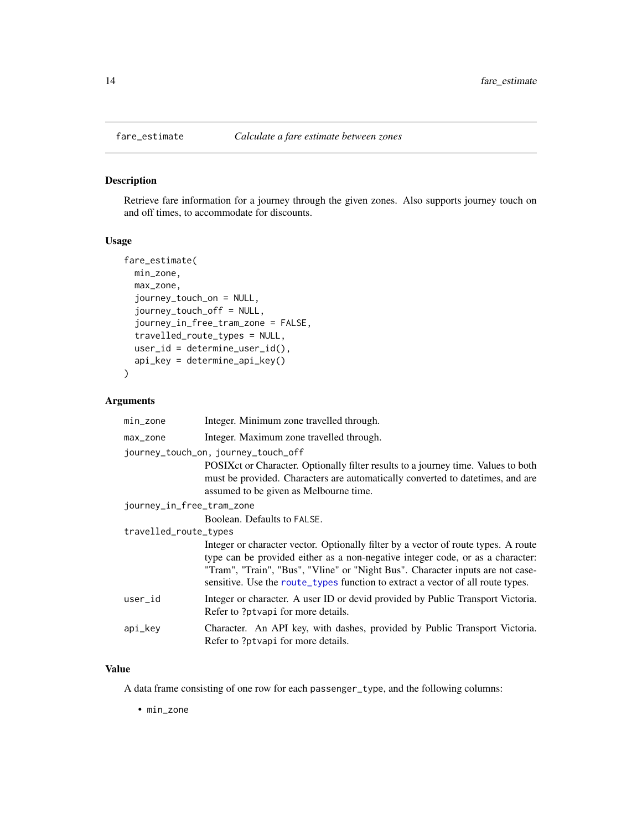# Description

Retrieve fare information for a journey through the given zones. Also supports journey touch on and off times, to accommodate for discounts.

# Usage

```
fare_estimate(
 min_zone,
 max_zone,
  journey_touch_on = NULL,
  journey_touch_off = NULL,
  journey_in_free_tram_zone = FALSE,
  travelled_route_types = NULL,
  user_id = determine_user_id(),api_key = determine_api_key()
)
```
#### Arguments

| $min\_zone$               | Integer. Minimum zone travelled through.                                                                                                                                                                                                                                                                                                  |
|---------------------------|-------------------------------------------------------------------------------------------------------------------------------------------------------------------------------------------------------------------------------------------------------------------------------------------------------------------------------------------|
| max_zone                  | Integer. Maximum zone travelled through.                                                                                                                                                                                                                                                                                                  |
|                           | journey_touch_on, journey_touch_off                                                                                                                                                                                                                                                                                                       |
|                           | POSIX ct or Character. Optionally filter results to a journey time. Values to both<br>must be provided. Characters are automatically converted to date times, and are<br>assumed to be given as Melbourne time.                                                                                                                           |
| journey_in_free_tram_zone |                                                                                                                                                                                                                                                                                                                                           |
|                           | Boolean. Defaults to FALSE.                                                                                                                                                                                                                                                                                                               |
| travelled_route_types     |                                                                                                                                                                                                                                                                                                                                           |
|                           | Integer or character vector. Optionally filter by a vector of route types. A route<br>type can be provided either as a non-negative integer code, or as a character:<br>"Tram", "Train", "Bus", "Vline" or "Night Bus". Character inputs are not case-<br>sensitive. Use the route_types function to extract a vector of all route types. |
| user_id                   | Integer or character. A user ID or devide provided by Public Transport Victoria.<br>Refer to ?ptvapi for more details.                                                                                                                                                                                                                    |
| api_key                   | Character. An API key, with dashes, provided by Public Transport Victoria.<br>Refer to ?ptvapi for more details.                                                                                                                                                                                                                          |

# Value

A data frame consisting of one row for each passenger\_type, and the following columns:

• min\_zone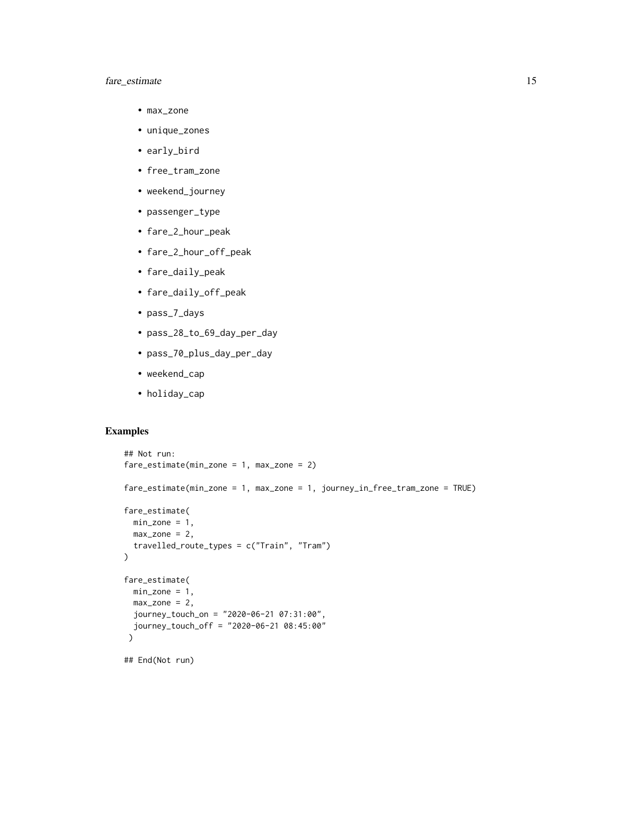# fare\_estimate 15

- max\_zone
- unique\_zones
- early\_bird
- free\_tram\_zone
- weekend\_journey
- passenger\_type
- fare\_2\_hour\_peak
- fare\_2\_hour\_off\_peak
- fare\_daily\_peak
- fare\_daily\_off\_peak
- pass\_7\_days
- pass\_28\_to\_69\_day\_per\_day
- pass\_70\_plus\_day\_per\_day
- weekend\_cap
- holiday\_cap

#### Examples

```
## Not run:
fare_estimate(min_zone = 1, max_zone = 2)
fare_estimate(min_zone = 1, max_zone = 1, journey_in_free_tram_zone = TRUE)
fare_estimate(
 min\_zone = 1,max\_zone = 2,travelled_route_types = c("Train", "Tram")
\lambdafare_estimate(
  min\_zone = 1,max\_zone = 2,journey_touch_on = "2020-06-21 07:31:00",
 journey_touch_off = "2020-06-21 08:45:00"
 )
## End(Not run)
```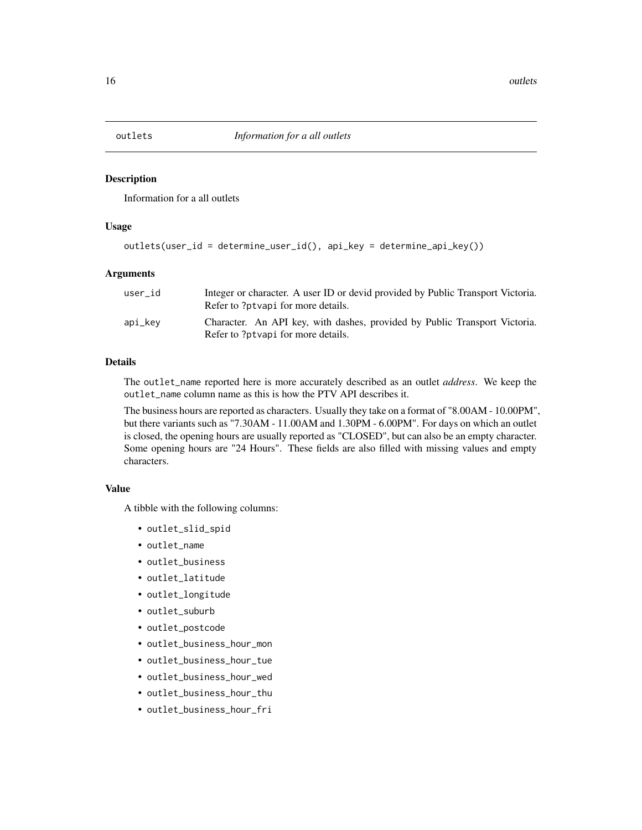<span id="page-15-0"></span>

#### Description

Information for a all outlets

#### Usage

```
outlets(user_id = determine_user_id(), api_key = determine_api_key())
```
#### Arguments

| user id | Integer or character. A user ID or devid provided by Public Transport Victoria.<br>Refer to ?ptvapi for more details. |
|---------|-----------------------------------------------------------------------------------------------------------------------|
| api_kev | Character. An API key, with dashes, provided by Public Transport Victoria.<br>Refer to ?ptvapi for more details.      |

#### Details

The outlet\_name reported here is more accurately described as an outlet *address*. We keep the outlet\_name column name as this is how the PTV API describes it.

The business hours are reported as characters. Usually they take on a format of "8.00AM - 10.00PM", but there variants such as "7.30AM - 11.00AM and 1.30PM - 6.00PM". For days on which an outlet is closed, the opening hours are usually reported as "CLOSED", but can also be an empty character. Some opening hours are "24 Hours". These fields are also filled with missing values and empty characters.

#### Value

A tibble with the following columns:

- outlet\_slid\_spid
- outlet\_name
- outlet\_business
- outlet latitude
- outlet\_longitude
- outlet\_suburb
- outlet\_postcode
- outlet\_business\_hour\_mon
- outlet\_business\_hour\_tue
- outlet\_business\_hour\_wed
- outlet\_business\_hour\_thu
- outlet\_business\_hour\_fri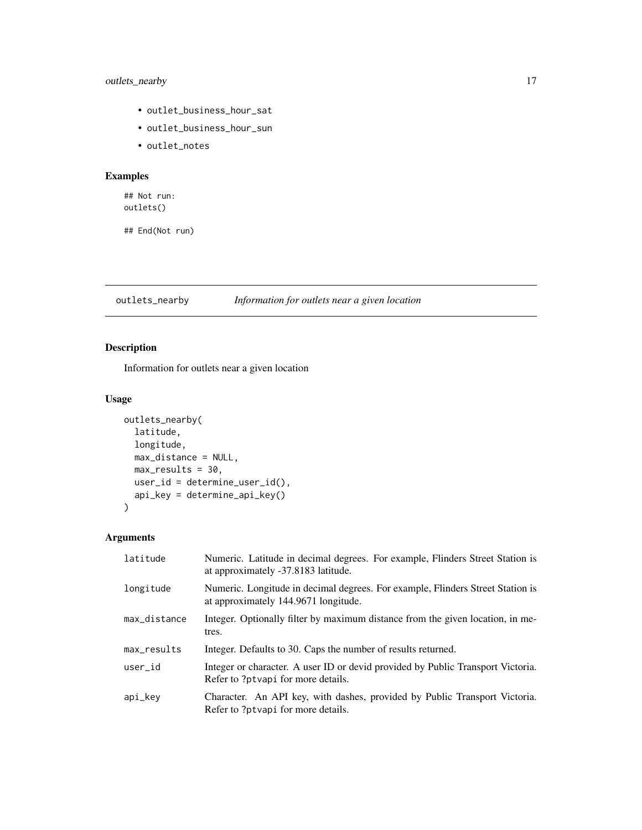# <span id="page-16-0"></span>outlets\_nearby 17

- outlet\_business\_hour\_sat
- outlet\_business\_hour\_sun
- outlet\_notes

# Examples

## Not run: outlets()

## End(Not run)

outlets\_nearby *Information for outlets near a given location*

# Description

Information for outlets near a given location

# Usage

```
outlets_nearby(
  latitude,
  longitude,
  max_distance = NULL,
  max\_results = 30,
  user_id = determine_user_id(),
  api_key = determine_api_key()
\mathcal{L}
```
# Arguments

| latitude     | Numeric. Latitude in decimal degrees. For example, Flinders Street Station is<br>at approximately -37.8183 latitude.   |
|--------------|------------------------------------------------------------------------------------------------------------------------|
| longitude    | Numeric. Longitude in decimal degrees. For example, Flinders Street Station is<br>at approximately 144.9671 longitude. |
| max_distance | Integer. Optionally filter by maximum distance from the given location, in me-<br>tres.                                |
| max results  | Integer. Defaults to 30. Caps the number of results returned.                                                          |
| user_id      | Integer or character. A user ID or devide provided by Public Transport Victoria.<br>Refer to ?ptvapi for more details. |
| api_key      | Character. An API key, with dashes, provided by Public Transport Victoria.<br>Refer to ?ptvapi for more details.       |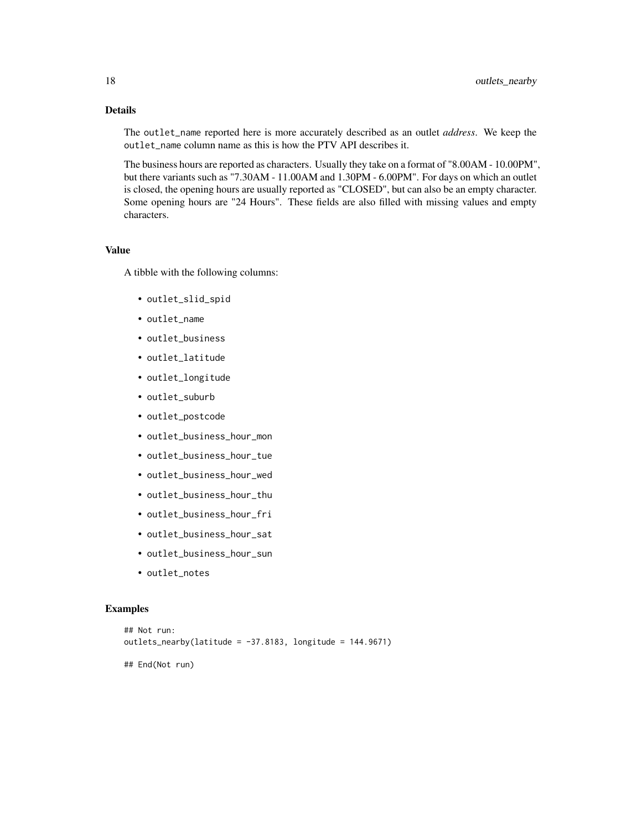#### Details

The outlet\_name reported here is more accurately described as an outlet *address*. We keep the outlet\_name column name as this is how the PTV API describes it.

The business hours are reported as characters. Usually they take on a format of "8.00AM - 10.00PM", but there variants such as "7.30AM - 11.00AM and 1.30PM - 6.00PM". For days on which an outlet is closed, the opening hours are usually reported as "CLOSED", but can also be an empty character. Some opening hours are "24 Hours". These fields are also filled with missing values and empty characters.

#### Value

A tibble with the following columns:

- outlet\_slid\_spid
- outlet\_name
- outlet\_business
- outlet\_latitude
- outlet\_longitude
- outlet\_suburb
- outlet\_postcode
- outlet\_business\_hour\_mon
- outlet\_business\_hour\_tue
- outlet\_business\_hour\_wed
- outlet\_business\_hour\_thu
- outlet\_business\_hour\_fri
- outlet\_business\_hour\_sat
- outlet\_business\_hour\_sun
- outlet notes

#### Examples

```
## Not run:
outlets_nearby(latitude = -37.8183, longitude = 144.9671)
## End(Not run)
```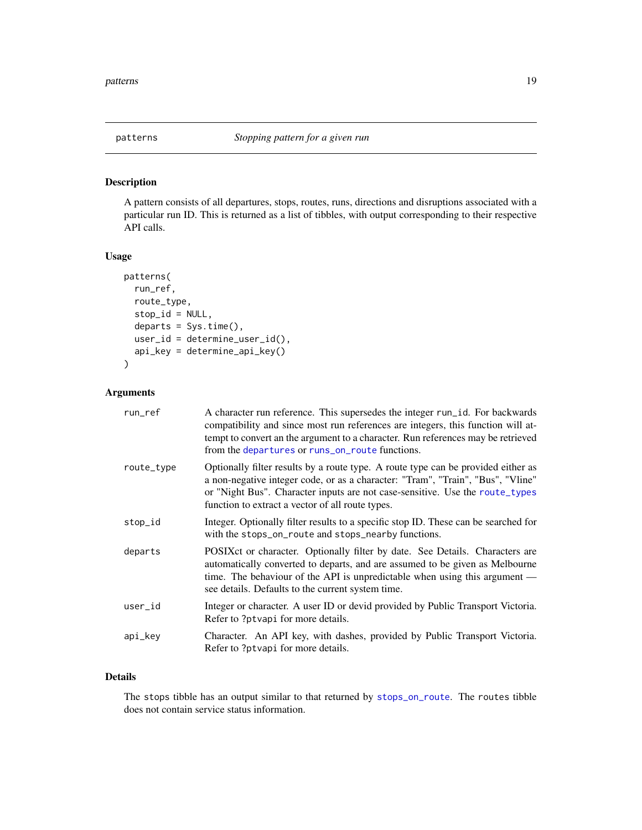<span id="page-18-0"></span>

# Description

A pattern consists of all departures, stops, routes, runs, directions and disruptions associated with a particular run ID. This is returned as a list of tibbles, with output corresponding to their respective API calls.

#### Usage

```
patterns(
  run_ref,
  route_type,
  stop_id = NULL,
  departs = Sys.time(),
  user_id = determine_user_id(),
  api_key = determine_api_key()
\mathcal{L}
```
# Arguments

| run_ref    | A character run reference. This supersedes the integer run_id. For backwards<br>compatibility and since most run references are integers, this function will at-<br>tempt to convert an the argument to a character. Run references may be retrieved<br>from the departures or runs_on_route functions.  |
|------------|----------------------------------------------------------------------------------------------------------------------------------------------------------------------------------------------------------------------------------------------------------------------------------------------------------|
| route_type | Optionally filter results by a route type. A route type can be provided either as<br>a non-negative integer code, or as a character: "Tram", "Train", "Bus", "Vline"<br>or "Night Bus". Character inputs are not case-sensitive. Use the route_types<br>function to extract a vector of all route types. |
| stop_id    | Integer. Optionally filter results to a specific stop ID. These can be searched for<br>with the stops_on_route and stops_nearby functions.                                                                                                                                                               |
| departs    | POSIXct or character. Optionally filter by date. See Details. Characters are<br>automatically converted to departs, and are assumed to be given as Melbourne<br>time. The behaviour of the API is unpredictable when using this argument —<br>see details. Defaults to the current system time.          |
| user_id    | Integer or character. A user ID or devide provided by Public Transport Victoria.<br>Refer to ?ptvapi for more details.                                                                                                                                                                                   |
| api_key    | Character. An API key, with dashes, provided by Public Transport Victoria.<br>Refer to ?ptvapi for more details.                                                                                                                                                                                         |

# Details

The stops tibble has an output similar to that returned by [stops\\_on\\_route](#page-33-1). The routes tibble does not contain service status information.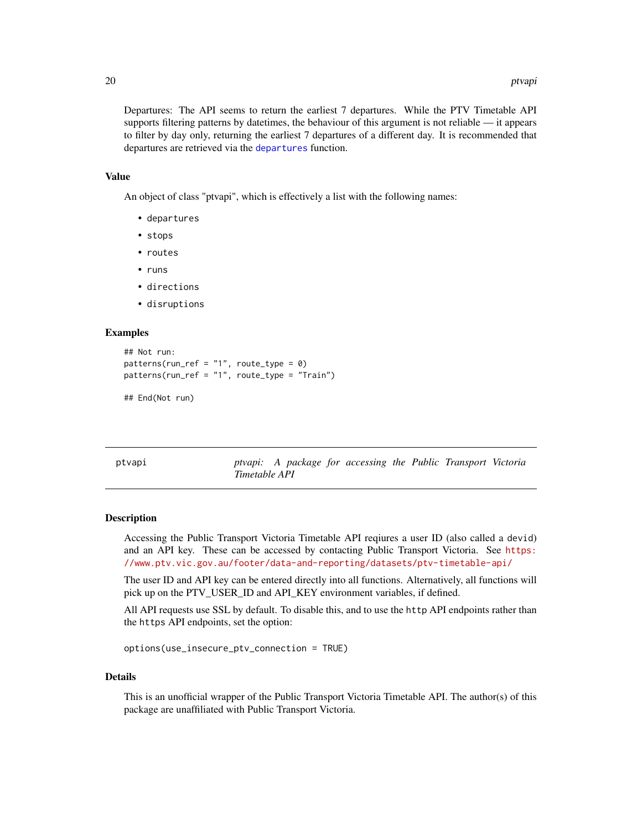<span id="page-19-0"></span>Departures: The API seems to return the earliest 7 departures. While the PTV Timetable API supports filtering patterns by datetimes, the behaviour of this argument is not reliable — it appears to filter by day only, returning the earliest 7 departures of a different day. It is recommended that departures are retrieved via the [departures](#page-1-1) function.

#### Value

An object of class "ptvapi", which is effectively a list with the following names:

- departures
- stops
- routes
- runs
- directions
- disruptions

#### Examples

```
## Not run:
patterns(run-ref = "1", route_type = 0)patterns(run_ref = "1", route_type = "Train")
```

```
## End(Not run)
```
ptvapi *ptvapi: A package for accessing the Public Transport Victoria Timetable API*

#### Description

Accessing the Public Transport Victoria Timetable API reqiures a user ID (also called a devid) and an API key. These can be accessed by contacting Public Transport Victoria. See [https:](https://www.ptv.vic.gov.au/footer/data-and-reporting/datasets/ptv-timetable-api/) [//www.ptv.vic.gov.au/footer/data-and-reporting/datasets/ptv-timetable-api/](https://www.ptv.vic.gov.au/footer/data-and-reporting/datasets/ptv-timetable-api/)

The user ID and API key can be entered directly into all functions. Alternatively, all functions will pick up on the PTV\_USER\_ID and API\_KEY environment variables, if defined.

All API requests use SSL by default. To disable this, and to use the http API endpoints rather than the https API endpoints, set the option:

```
options(use_insecure_ptv_connection = TRUE)
```
#### Details

This is an unofficial wrapper of the Public Transport Victoria Timetable API. The author(s) of this package are unaffiliated with Public Transport Victoria.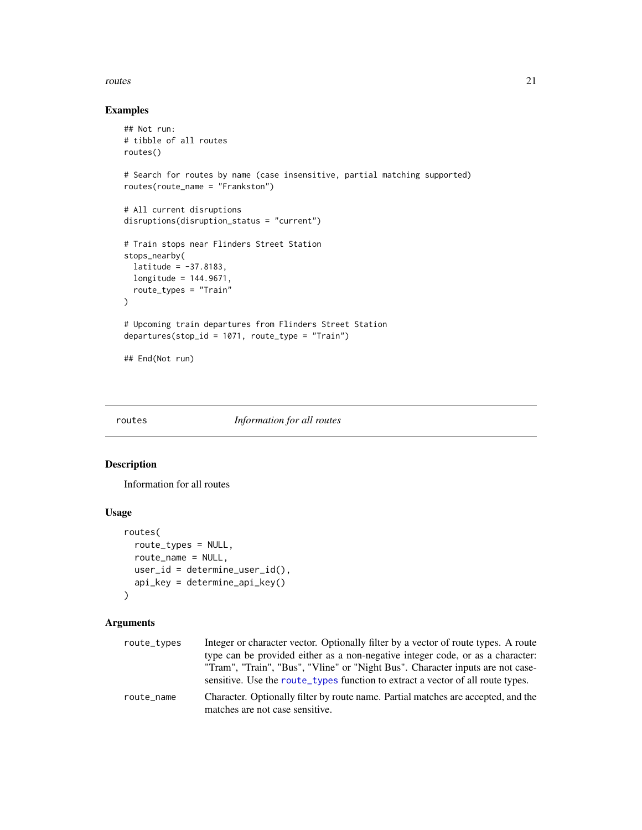#### <span id="page-20-0"></span>routes 21

#### Examples

```
## Not run:
# tibble of all routes
routes()
# Search for routes by name (case insensitive, partial matching supported)
routes(route_name = "Frankston")
# All current disruptions
disruptions(disruption_status = "current")
# Train stops near Flinders Street Station
stops_nearby(
 latitude = -37.8183,
 longitude = 144.9671,
  route_types = "Train"
\lambda# Upcoming train departures from Flinders Street Station
departures(stop_id = 1071, route_type = "Train")## End(Not run)
```
# <span id="page-20-1"></span>routes *Information for all routes*

#### Description

Information for all routes

# Usage

```
routes(
  route_types = NULL,
 route_name = NULL,
 user_id = determine_user_id(),
 api_key = determine_api_key()
\mathcal{L}
```
# Arguments

| route_types | Integer or character vector. Optionally filter by a vector of route types. A route<br>type can be provided either as a non-negative integer code, or as a character.<br>"Tram", "Train", "Bus", "Vline" or "Night Bus". Character inputs are not case-<br>sensitive. Use the route types function to extract a vector of all route types. |
|-------------|-------------------------------------------------------------------------------------------------------------------------------------------------------------------------------------------------------------------------------------------------------------------------------------------------------------------------------------------|
| route_name  | Character. Optionally filter by route name. Partial matches are accepted, and the<br>matches are not case sensitive.                                                                                                                                                                                                                      |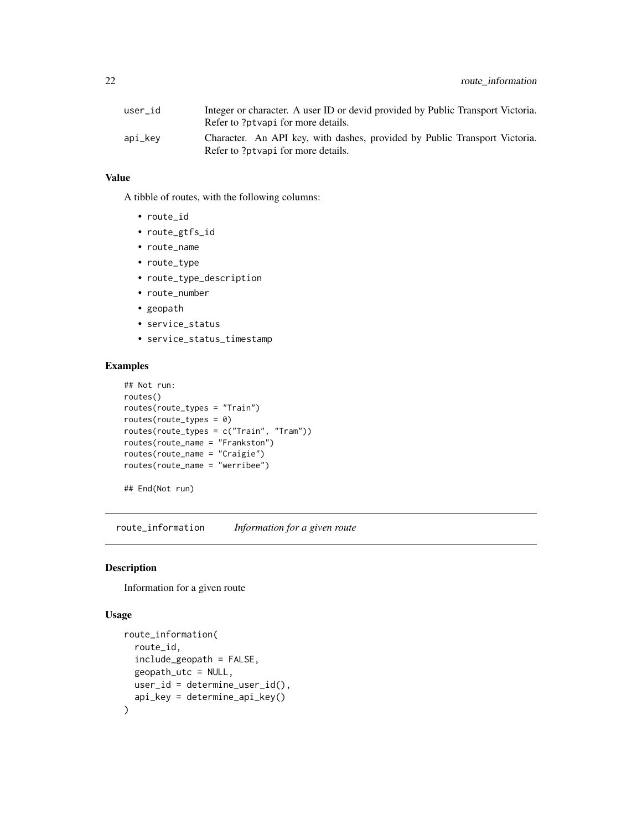<span id="page-21-0"></span>

| user id | Integer or character. A user ID or devid provided by Public Transport Victoria.                                  |
|---------|------------------------------------------------------------------------------------------------------------------|
|         | Refer to ?ptvapi for more details.                                                                               |
| api_kev | Character. An API key, with dashes, provided by Public Transport Victoria.<br>Refer to ?ptvapi for more details. |

#### Value

A tibble of routes, with the following columns:

- route\_id
- route\_gtfs\_id
- route\_name
- route\_type
- route\_type\_description
- route\_number
- geopath
- service\_status
- service\_status\_timestamp

# Examples

```
## Not run:
routes()
routes(route_types = "Train")
routes(route_types = 0)
routes(route_types = c("Train", "Tram"))
routes(route_name = "Frankston")
routes(route_name = "Craigie")
routes(route_name = "werribee")
```
## End(Not run)

route\_information *Information for a given route*

# Description

Information for a given route

```
route_information(
  route_id,
  include_geopath = FALSE,
  geopath_utc = NULL,
 user_id = determine_user_id(),
  api_key = determine_api_key()
\mathcal{E}
```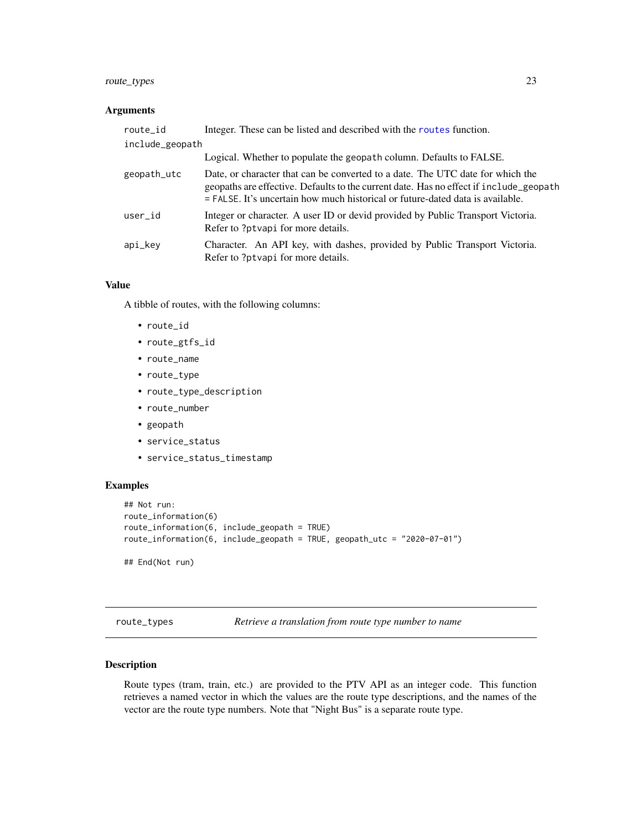# <span id="page-22-0"></span>route\_types 23

#### Arguments

| route_id        | Integer. These can be listed and described with the routes function.                                                                                                                                                                                         |
|-----------------|--------------------------------------------------------------------------------------------------------------------------------------------------------------------------------------------------------------------------------------------------------------|
| include_geopath |                                                                                                                                                                                                                                                              |
|                 | Logical. Whether to populate the geopath column. Defaults to FALSE.                                                                                                                                                                                          |
| geopath_utc     | Date, or character that can be converted to a date. The UTC date for which the<br>geopaths are effective. Defaults to the current date. Has no effect if include_geopath<br>$=$ FALSE. It's uncertain how much historical or future-dated data is available. |
| user_id         | Integer or character. A user ID or devid provided by Public Transport Victoria.<br>Refer to ?ptvapi for more details.                                                                                                                                        |
| api_key         | Character. An API key, with dashes, provided by Public Transport Victoria.<br>Refer to ?ptvapi for more details.                                                                                                                                             |

#### Value

A tibble of routes, with the following columns:

- route\_id
- route\_gtfs\_id
- route\_name
- route\_type
- route\_type\_description
- route\_number
- geopath
- service\_status
- service\_status\_timestamp

# Examples

```
## Not run:
route_information(6)
route_information(6, include_geopath = TRUE)
route_information(6, include_geopath = TRUE, geopath_utc = "2020-07-01")
## End(Not run)
```
<span id="page-22-1"></span>route\_types *Retrieve a translation from route type number to name*

#### Description

Route types (tram, train, etc.) are provided to the PTV API as an integer code. This function retrieves a named vector in which the values are the route type descriptions, and the names of the vector are the route type numbers. Note that "Night Bus" is a separate route type.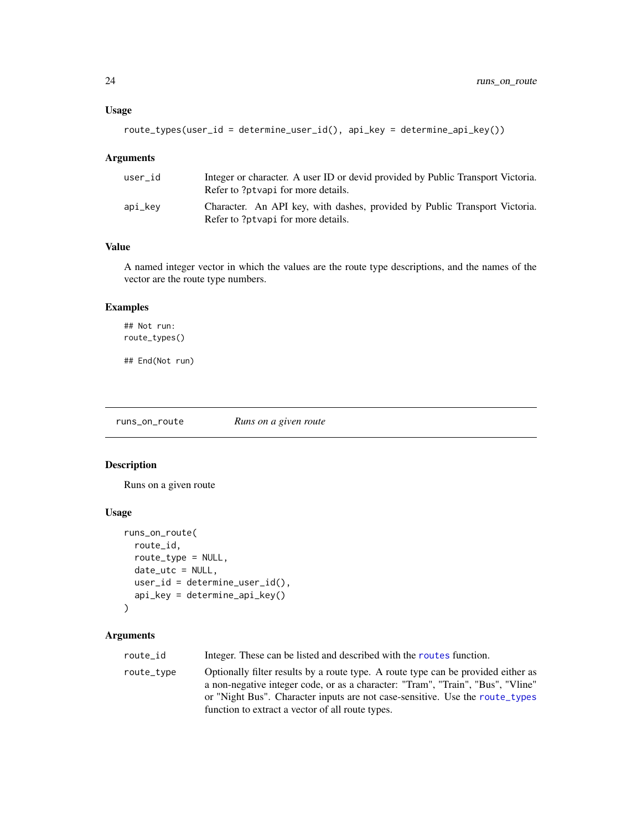```
route_types(user_id = determine_user_id(), api_key = determine_api_key())
```
#### Arguments

| user id | Integer or character. A user ID or devid provided by Public Transport Victoria.<br>Refer to ?ptvapi for more details. |
|---------|-----------------------------------------------------------------------------------------------------------------------|
| api_kev | Character. An API key, with dashes, provided by Public Transport Victoria.<br>Refer to ?ptvapi for more details.      |

#### Value

A named integer vector in which the values are the route type descriptions, and the names of the vector are the route type numbers.

#### Examples

```
## Not run:
route_types()
```
## End(Not run)

<span id="page-23-1"></span>runs\_on\_route *Runs on a given route*

#### Description

Runs on a given route

# Usage

```
runs_on_route(
  route_id,
  route_type = NULL,
 date_utc = NULL,
 user_id = determine_user_id(),
  api_key = determine_api_key()
\lambda
```
#### Arguments

route\_id Integer. These can be listed and described with the [routes](#page-20-1) function.

route\_type Optionally filter results by a route type. A route type can be provided either as a non-negative integer code, or as a character: "Tram", "Train", "Bus", "Vline" or "Night Bus". Character inputs are not case-sensitive. Use the [route\\_types](#page-22-1) function to extract a vector of all route types.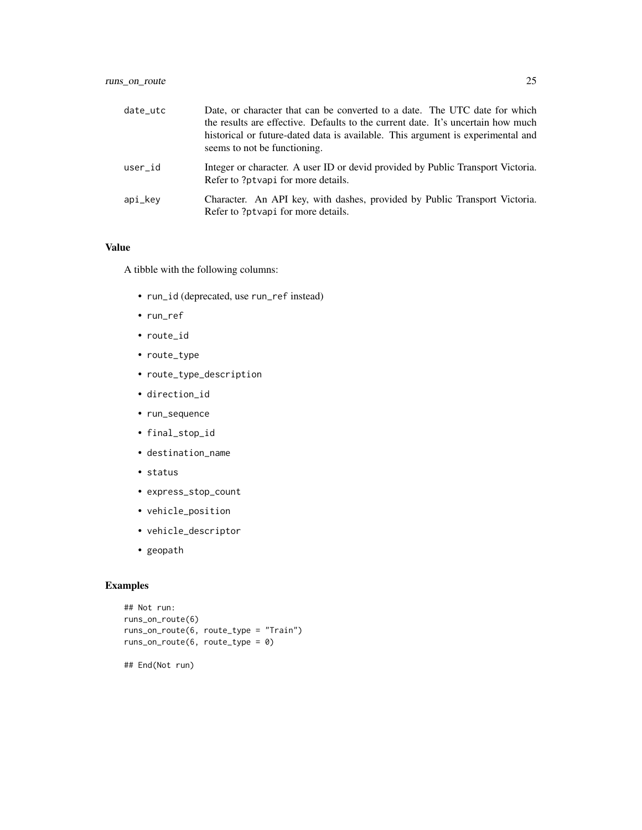| date utc | Date, or character that can be converted to a date. The UTC date for which<br>the results are effective. Defaults to the current date. It's uncertain how much<br>historical or future-dated data is available. This argument is experimental and<br>seems to not be functioning. |
|----------|-----------------------------------------------------------------------------------------------------------------------------------------------------------------------------------------------------------------------------------------------------------------------------------|
| user id  | Integer or character. A user ID or devid provided by Public Transport Victoria.<br>Refer to ?ptvapi for more details.                                                                                                                                                             |
| api_kev  | Character. An API key, with dashes, provided by Public Transport Victoria.<br>Refer to ?ptvapi for more details.                                                                                                                                                                  |

#### Value

A tibble with the following columns:

- run\_id (deprecated, use run\_ref instead)
- run\_ref
- route\_id
- route\_type
- route\_type\_description
- direction\_id
- run\_sequence
- final\_stop\_id
- destination\_name
- status
- express\_stop\_count
- vehicle\_position
- vehicle\_descriptor
- geopath

#### Examples

```
## Not run:
runs_on_route(6)
runs_on_route(6, route_type = "Train")
runs_on_route(6, route_type = 0)
```
## End(Not run)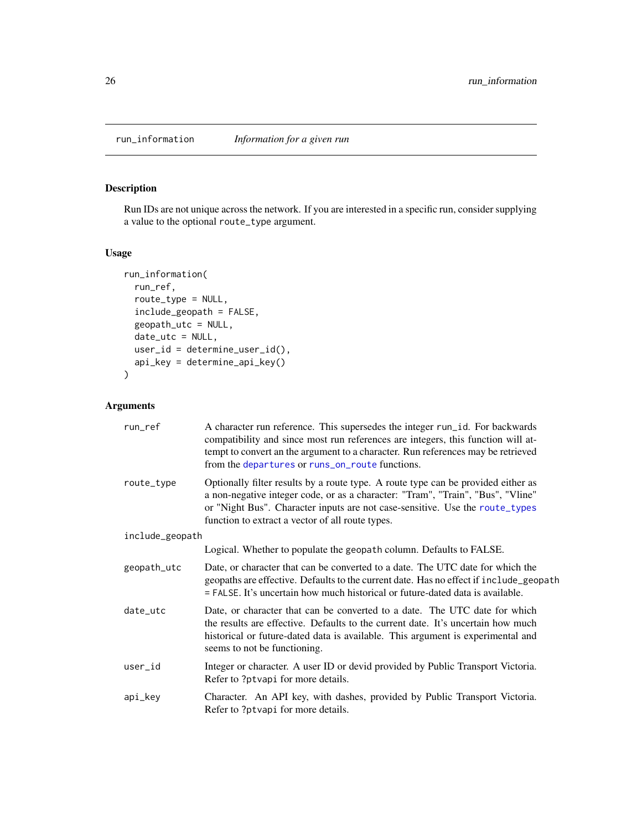# <span id="page-25-0"></span>Description

Run IDs are not unique across the network. If you are interested in a specific run, consider supplying a value to the optional route\_type argument.

# Usage

```
run_information(
 run_ref,
 route_type = NULL,
 include_geopath = FALSE,
 geopath_utc = NULL,
 date_utc = NULL,
 user_id = determine_user_id(),
 api_key = determine_api_key()
)
```
# Arguments

| run_ref         | A character run reference. This supersedes the integer run_id. For backwards<br>compatibility and since most run references are integers, this function will at-<br>tempt to convert an the argument to a character. Run references may be retrieved<br>from the departures or runs_on_route functions.  |  |
|-----------------|----------------------------------------------------------------------------------------------------------------------------------------------------------------------------------------------------------------------------------------------------------------------------------------------------------|--|
| route_type      | Optionally filter results by a route type. A route type can be provided either as<br>a non-negative integer code, or as a character: "Tram", "Train", "Bus", "Vline"<br>or "Night Bus". Character inputs are not case-sensitive. Use the route_types<br>function to extract a vector of all route types. |  |
| include_geopath |                                                                                                                                                                                                                                                                                                          |  |
|                 | Logical. Whether to populate the geopath column. Defaults to FALSE.                                                                                                                                                                                                                                      |  |
| geopath_utc     | Date, or character that can be converted to a date. The UTC date for which the<br>geopaths are effective. Defaults to the current date. Has no effect if include_geopath<br>$=$ FALSE. It's uncertain how much historical or future-dated data is available.                                             |  |
| date utc        | Date, or character that can be converted to a date. The UTC date for which<br>the results are effective. Defaults to the current date. It's uncertain how much<br>historical or future-dated data is available. This argument is experimental and<br>seems to not be functioning.                        |  |
| user_id         | Integer or character. A user ID or devid provided by Public Transport Victoria.<br>Refer to ?ptvapi for more details.                                                                                                                                                                                    |  |
| api_key         | Character. An API key, with dashes, provided by Public Transport Victoria.<br>Refer to ?ptvapi for more details.                                                                                                                                                                                         |  |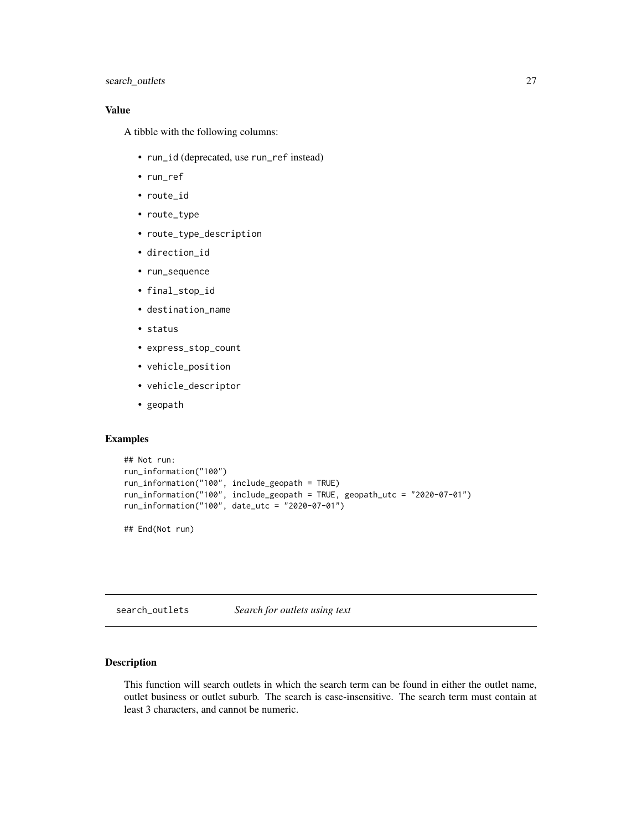# <span id="page-26-0"></span>search\_outlets 27

# Value

A tibble with the following columns:

- run\_id (deprecated, use run\_ref instead)
- run\_ref
- route\_id
- route\_type
- route\_type\_description
- direction\_id
- run\_sequence
- final\_stop\_id
- destination\_name
- status
- express\_stop\_count
- vehicle\_position
- vehicle\_descriptor
- geopath

#### Examples

```
## Not run:
run_information("100")
run_information("100", include_geopath = TRUE)
run_information("100", include_geopath = TRUE, geopath_utc = "2020-07-01")
run_information("100", date_utc = "2020-07-01")
```
## End(Not run)

<span id="page-26-1"></span>search\_outlets *Search for outlets using text*

# Description

This function will search outlets in which the search term can be found in either the outlet name, outlet business or outlet suburb. The search is case-insensitive. The search term must contain at least 3 characters, and cannot be numeric.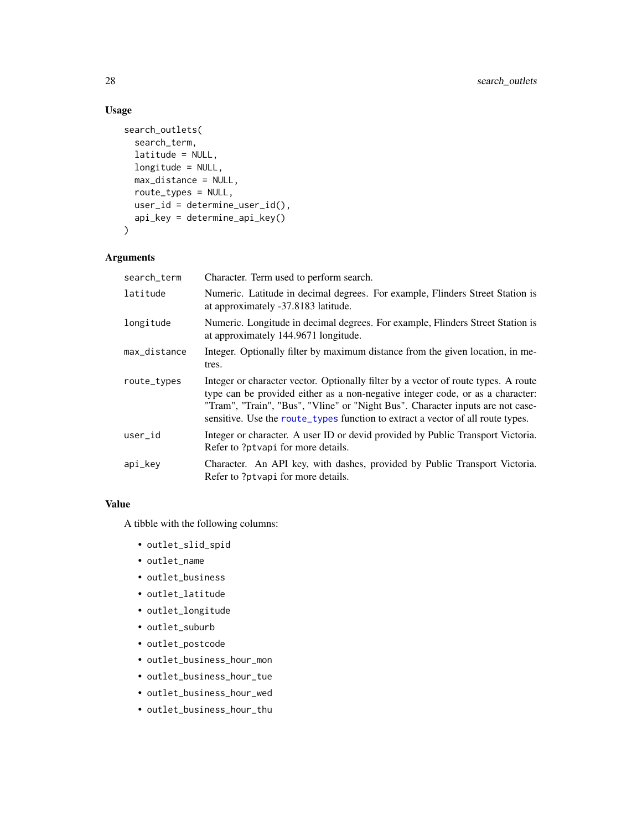# Usage

```
search_outlets(
  search_term,
  latitude = NULL,
 longitude = NULL,
 max_distance = NULL,
 route_types = NULL,
 user_id = determine_user_id(),
  api_key = determine_api_key()
\mathcal{L}
```
# Arguments

| search_term  | Character. Term used to perform search.                                                                                                                                                                                                                                                                                                   |
|--------------|-------------------------------------------------------------------------------------------------------------------------------------------------------------------------------------------------------------------------------------------------------------------------------------------------------------------------------------------|
| latitude     | Numeric. Latitude in decimal degrees. For example, Flinders Street Station is<br>at approximately -37.8183 latitude.                                                                                                                                                                                                                      |
| longitude    | Numeric. Longitude in decimal degrees. For example, Flinders Street Station is<br>at approximately 144.9671 longitude.                                                                                                                                                                                                                    |
| max_distance | Integer. Optionally filter by maximum distance from the given location, in me-<br>tres.                                                                                                                                                                                                                                                   |
| route_types  | Integer or character vector. Optionally filter by a vector of route types. A route<br>type can be provided either as a non-negative integer code, or as a character:<br>"Tram", "Train", "Bus", "Vline" or "Night Bus". Character inputs are not case-<br>sensitive. Use the route_types function to extract a vector of all route types. |
| user_id      | Integer or character. A user ID or devide provided by Public Transport Victoria.<br>Refer to ?ptvapi for more details.                                                                                                                                                                                                                    |
| api_key      | Character. An API key, with dashes, provided by Public Transport Victoria.<br>Refer to ?ptvapi for more details.                                                                                                                                                                                                                          |

# Value

A tibble with the following columns:

- outlet\_slid\_spid
- outlet\_name
- outlet\_business
- outlet\_latitude
- outlet\_longitude
- outlet\_suburb
- outlet\_postcode
- outlet\_business\_hour\_mon
- outlet\_business\_hour\_tue
- outlet\_business\_hour\_wed
- outlet\_business\_hour\_thu

<span id="page-27-0"></span>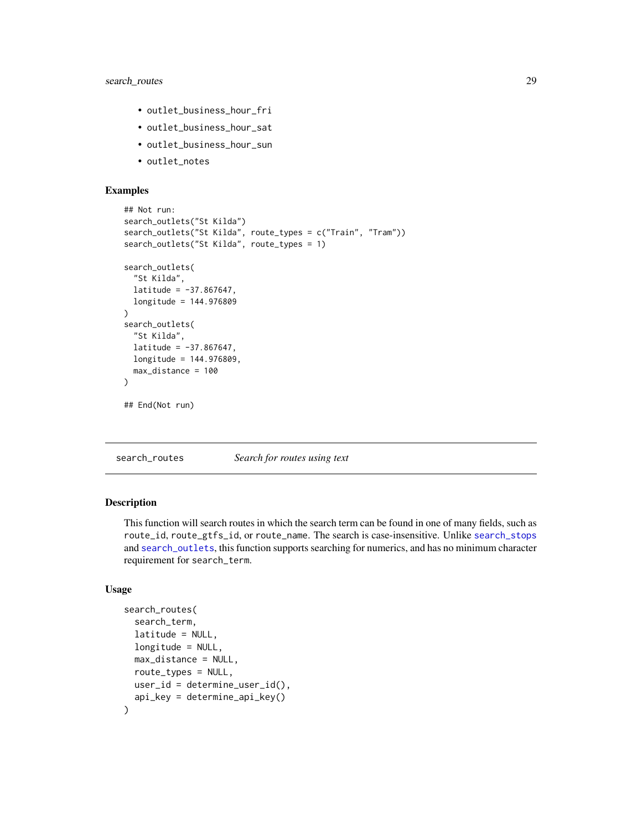# <span id="page-28-0"></span>search\_routes 29

- outlet\_business\_hour\_fri
- outlet\_business\_hour\_sat
- outlet\_business\_hour\_sun
- outlet\_notes

# Examples

```
## Not run:
search_outlets("St Kilda")
search_outlets("St Kilda", route_types = c("Train", "Tram"))
search_outlets("St Kilda", route_types = 1)
search_outlets(
 "St Kilda",
 lattice = -37.867647,
 longitude = 144.976809
\mathcal{L}search_outlets(
 "St Kilda",
 lattice = -37.867647,longitude = 144.976809,
 max_distance = 100
)
## End(Not run)
```
search\_routes *Search for routes using text*

#### **Description**

This function will search routes in which the search term can be found in one of many fields, such as route\_id, route\_gtfs\_id, or route\_name. The search is case-insensitive. Unlike [search\\_stops](#page-30-1) and [search\\_outlets](#page-26-1), this function supports searching for numerics, and has no minimum character requirement for search\_term.

```
search_routes(
  search_term,
  latitude = NULL,
  longitude = NULL,
 max_distance = NULL,
  route_types = NULL,
 user_id = determine_user_id(),
  api_key = determine_api_key()
)
```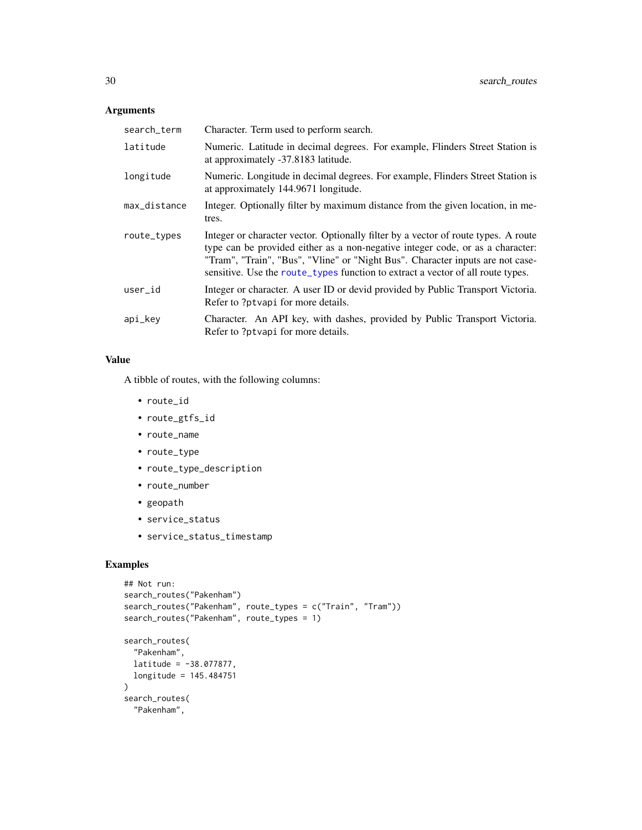#### <span id="page-29-0"></span>Arguments

| search_term  | Character. Term used to perform search.                                                                                                                                                                                                                                                                                                   |
|--------------|-------------------------------------------------------------------------------------------------------------------------------------------------------------------------------------------------------------------------------------------------------------------------------------------------------------------------------------------|
| latitude     | Numeric. Latitude in decimal degrees. For example, Flinders Street Station is<br>at approximately -37.8183 latitude.                                                                                                                                                                                                                      |
| longitude    | Numeric. Longitude in decimal degrees. For example, Flinders Street Station is<br>at approximately 144.9671 longitude.                                                                                                                                                                                                                    |
| max_distance | Integer. Optionally filter by maximum distance from the given location, in me-<br>tres.                                                                                                                                                                                                                                                   |
| route_types  | Integer or character vector. Optionally filter by a vector of route types. A route<br>type can be provided either as a non-negative integer code, or as a character:<br>"Tram", "Train", "Bus", "Vline" or "Night Bus". Character inputs are not case-<br>sensitive. Use the route_types function to extract a vector of all route types. |
| user_id      | Integer or character. A user ID or devide provided by Public Transport Victoria.<br>Refer to ?ptvapi for more details.                                                                                                                                                                                                                    |
| api_key      | Character. An API key, with dashes, provided by Public Transport Victoria.<br>Refer to ?ptvapi for more details.                                                                                                                                                                                                                          |

#### Value

A tibble of routes, with the following columns:

- route\_id
- route\_gtfs\_id
- route\_name
- route\_type
- route\_type\_description
- route\_number
- geopath
- service\_status
- service\_status\_timestamp

# Examples

```
## Not run:
search_routes("Pakenham")
search_routes("Pakenham", route_types = c("Train", "Tram"))
search_routes("Pakenham", route_types = 1)
search_routes(
  "Pakenham",
  latitude = -38.077877,
 longitude = 145.484751
\mathcal{L}search_routes(
  "Pakenham",
```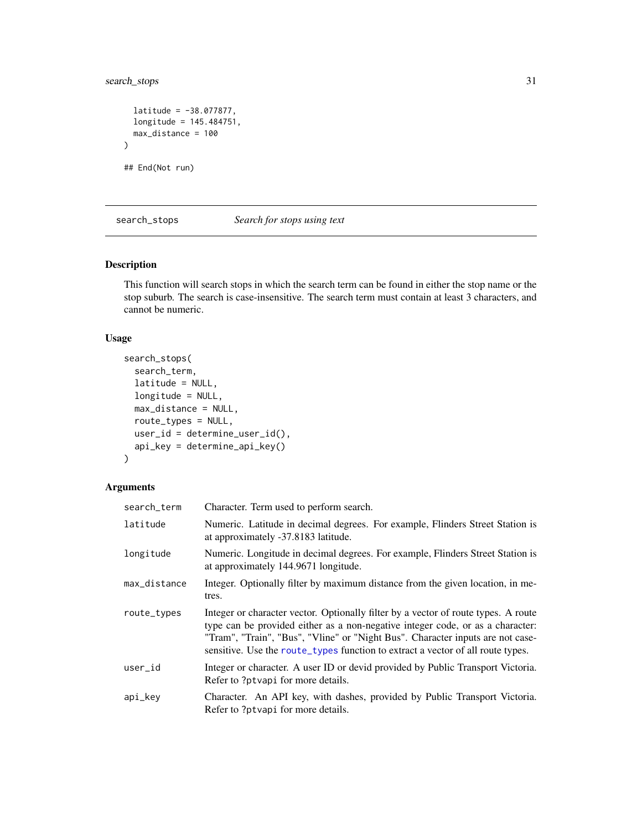<span id="page-30-0"></span>search\_stops 31

```
lattice = -38.077877,longitude = 145.484751,
  max_distance = 100
\mathcal{L}## End(Not run)
```
<span id="page-30-1"></span>search\_stops *Search for stops using text*

# Description

This function will search stops in which the search term can be found in either the stop name or the stop suburb. The search is case-insensitive. The search term must contain at least 3 characters, and cannot be numeric.

# Usage

```
search_stops(
  search_term,
 latitude = NULL,
 longitude = NULL,
 max_distance = NULL,
  route_types = NULL,
 user_id = determine_user_id(),
 api_key = determine_api_key()
)
```
# Arguments

| search_term  | Character. Term used to perform search.                                                                                                                                                                                                                                                                                                   |
|--------------|-------------------------------------------------------------------------------------------------------------------------------------------------------------------------------------------------------------------------------------------------------------------------------------------------------------------------------------------|
| latitude     | Numeric. Latitude in decimal degrees. For example, Flinders Street Station is<br>at approximately -37.8183 latitude.                                                                                                                                                                                                                      |
| longitude    | Numeric. Longitude in decimal degrees. For example, Flinders Street Station is<br>at approximately 144.9671 longitude.                                                                                                                                                                                                                    |
| max_distance | Integer. Optionally filter by maximum distance from the given location, in me-<br>tres.                                                                                                                                                                                                                                                   |
| route_types  | Integer or character vector. Optionally filter by a vector of route types. A route<br>type can be provided either as a non-negative integer code, or as a character:<br>"Tram", "Train", "Bus", "Vline" or "Night Bus". Character inputs are not case-<br>sensitive. Use the route_types function to extract a vector of all route types. |
| user_id      | Integer or character. A user ID or devide provided by Public Transport Victoria.<br>Refer to ?ptvapi for more details.                                                                                                                                                                                                                    |
| api_key      | Character. An API key, with dashes, provided by Public Transport Victoria.<br>Refer to ?ptvapi for more details.                                                                                                                                                                                                                          |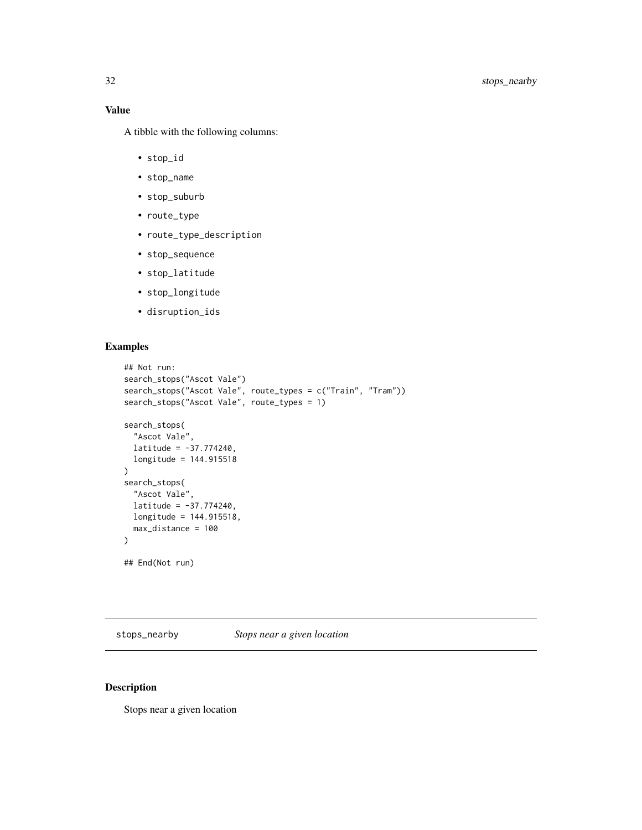<span id="page-31-0"></span>A tibble with the following columns:

- stop\_id
- stop\_name
- stop\_suburb
- route\_type
- route\_type\_description
- stop\_sequence
- stop\_latitude
- stop\_longitude
- disruption\_ids

#### Examples

```
## Not run:
search_stops("Ascot Vale")
search_stops("Ascot Vale", route_types = c("Train", "Tram"))
search_stops("Ascot Vale", route_types = 1)
search_stops(
  "Ascot Vale",
  latitude = -37.774240,
  longitude = 144.915518
)
search_stops(
  "Ascot Vale",
  lattice = -37.774240,longitude = 144.915518,
  max_distance = 100
)
## End(Not run)
```
<span id="page-31-1"></span>stops\_nearby *Stops near a given location*

#### Description

Stops near a given location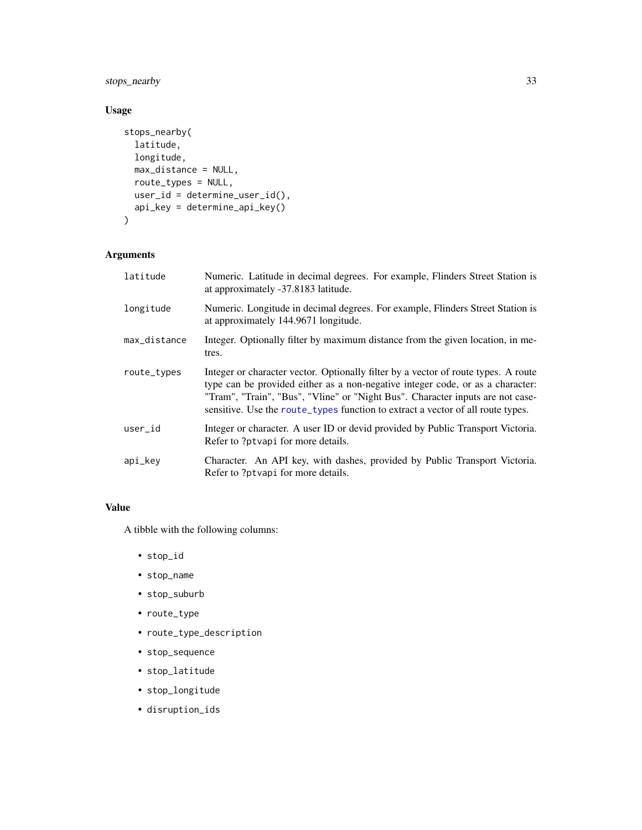<span id="page-32-0"></span>stops\_nearby 33

# Usage

```
stops_nearby(
 latitude,
 longitude,
 max_distance = NULL,
 route_types = NULL,
 user_id = determine_user_id(),
 api_key = determine_api_key()
\mathcal{L}
```
# Arguments

| latitude     | Numeric. Latitude in decimal degrees. For example, Flinders Street Station is<br>at approximately -37.8183 latitude.                                                                                                                                                                                                                      |
|--------------|-------------------------------------------------------------------------------------------------------------------------------------------------------------------------------------------------------------------------------------------------------------------------------------------------------------------------------------------|
| longitude    | Numeric. Longitude in decimal degrees. For example, Flinders Street Station is<br>at approximately 144.9671 longitude.                                                                                                                                                                                                                    |
| max_distance | Integer. Optionally filter by maximum distance from the given location, in me-<br>tres.                                                                                                                                                                                                                                                   |
| route_types  | Integer or character vector. Optionally filter by a vector of route types. A route<br>type can be provided either as a non-negative integer code, or as a character:<br>"Tram", "Train", "Bus", "Vline" or "Night Bus". Character inputs are not case-<br>sensitive. Use the route_types function to extract a vector of all route types. |
| user_id      | Integer or character. A user ID or devide provided by Public Transport Victoria.<br>Refer to ?ptvapi for more details.                                                                                                                                                                                                                    |
| api_key      | Character. An API key, with dashes, provided by Public Transport Victoria.<br>Refer to ?ptvapi for more details.                                                                                                                                                                                                                          |

# Value

A tibble with the following columns:

- stop\_id
- stop\_name
- stop\_suburb
- route\_type
- route\_type\_description
- stop\_sequence
- stop\_latitude
- stop\_longitude
- disruption\_ids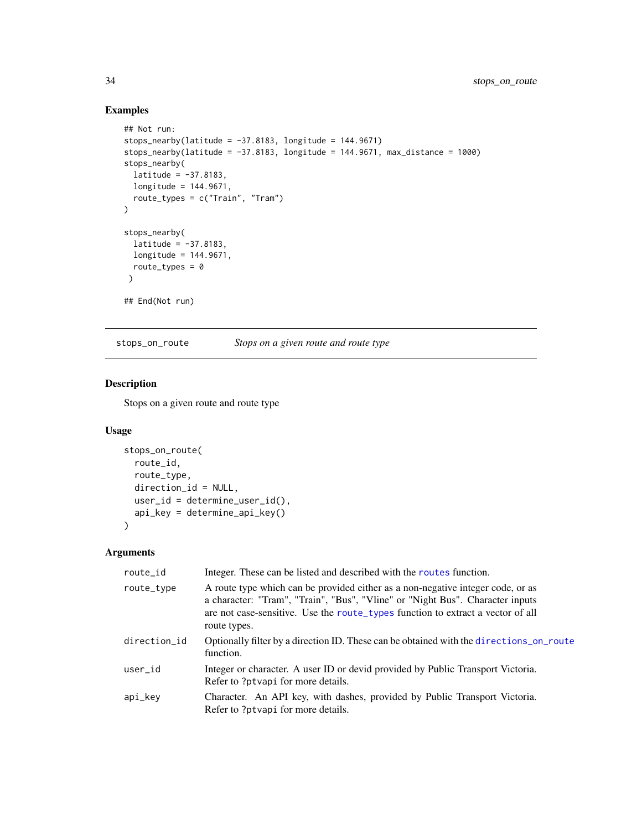# Examples

```
## Not run:
stops_nearby(latitude = -37.8183, longitude = 144.9671)
stops_nearby(latitude = -37.8183, longitude = 144.9671, max_distance = 1000)
stops_nearby(
 latitude = -37.8183,
 longitude = 144.9671,
 route_types = c("Train", "Tram")
\lambdastops_nearby(
 lattice = -37.8183,longitude = 144.9671,
 route_types = 0\lambda## End(Not run)
```
<span id="page-33-1"></span>stops\_on\_route *Stops on a given route and route type*

# Description

Stops on a given route and route type

#### Usage

```
stops_on_route(
 route_id,
 route_type,
 direction_id = NULL,
 user_id = determine_user_id(),
  api_key = determine_api_key()
)
```
# Arguments

| route_id     | Integer. These can be listed and described with the routes function.                                                                                                                                                                                                |
|--------------|---------------------------------------------------------------------------------------------------------------------------------------------------------------------------------------------------------------------------------------------------------------------|
| route_type   | A route type which can be provided either as a non-negative integer code, or as<br>a character: "Tram", "Train", "Bus", "Vline" or "Night Bus". Character inputs<br>are not case-sensitive. Use the route_types function to extract a vector of all<br>route types. |
| direction_id | Optionally filter by a direction ID. These can be obtained with the directions_on_route<br>function.                                                                                                                                                                |
| user_id      | Integer or character. A user ID or devid provided by Public Transport Victoria.<br>Refer to ?ptvapi for more details.                                                                                                                                               |
| api_key      | Character. An API key, with dashes, provided by Public Transport Victoria.<br>Refer to ?ptvapi for more details.                                                                                                                                                    |

<span id="page-33-0"></span>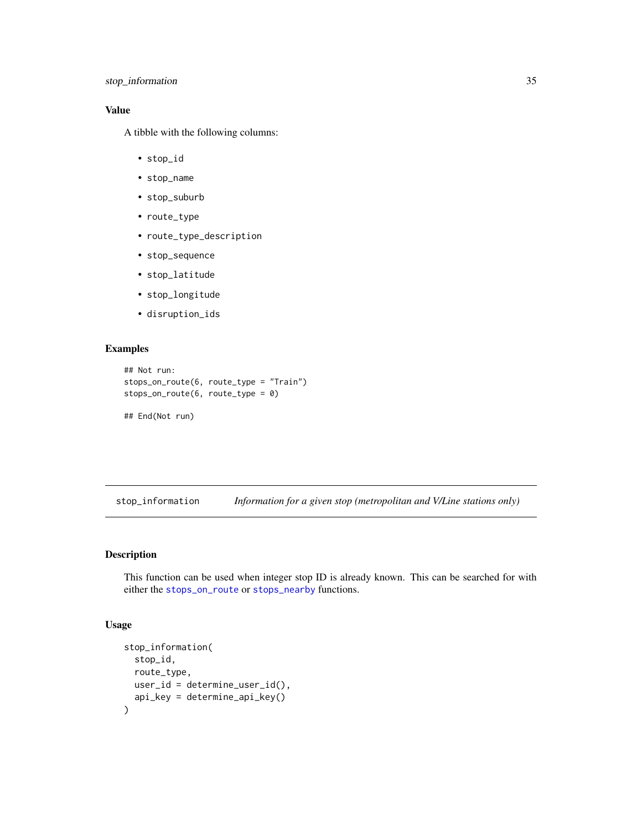# <span id="page-34-0"></span>Value

A tibble with the following columns:

- stop\_id
- stop\_name
- stop\_suburb
- route\_type
- route\_type\_description
- stop\_sequence
- stop\_latitude
- stop\_longitude
- disruption\_ids

# Examples

```
## Not run:
stops_on_route(6, route_type = "Train")
stops_on_route(6, route_type = 0)
```
## End(Not run)

stop\_information *Information for a given stop (metropolitan and V/Line stations only)*

#### Description

This function can be used when integer stop ID is already known. This can be searched for with either the [stops\\_on\\_route](#page-33-1) or [stops\\_nearby](#page-31-1) functions.

```
stop_information(
  stop_id,
  route_type,
  user_id = determine_user_id(),
  api_key = determine_api_key()
\mathcal{E}
```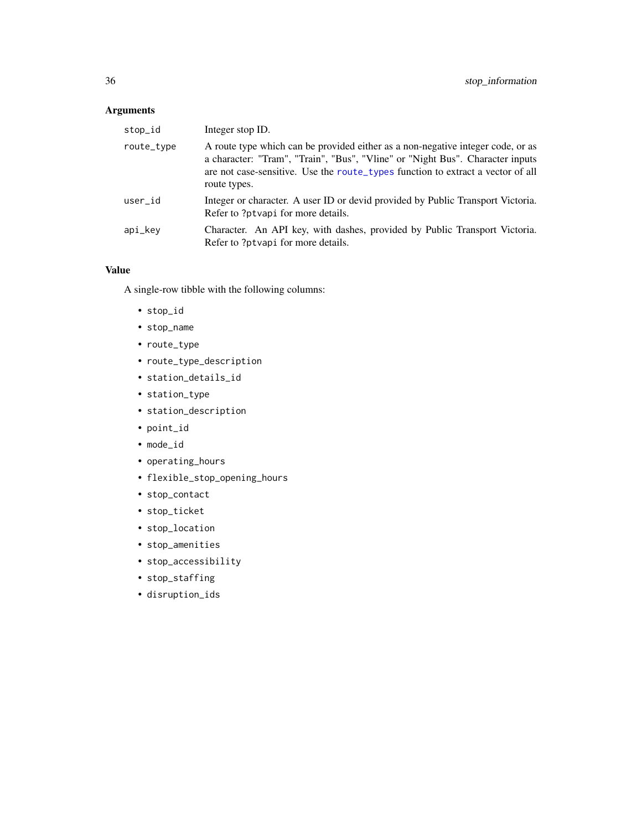# <span id="page-35-0"></span>Arguments

| stop_id    | Integer stop ID.                                                                                                                                                                                                                                                    |
|------------|---------------------------------------------------------------------------------------------------------------------------------------------------------------------------------------------------------------------------------------------------------------------|
| route_type | A route type which can be provided either as a non-negative integer code, or as<br>a character: "Tram", "Train", "Bus", "Vline" or "Night Bus". Character inputs<br>are not case-sensitive. Use the route_types function to extract a vector of all<br>route types. |
| user_id    | Integer or character. A user ID or devide provided by Public Transport Victoria.<br>Refer to ?ptvapi for more details.                                                                                                                                              |
| api_kev    | Character. An API key, with dashes, provided by Public Transport Victoria.<br>Refer to ?ptvapi for more details.                                                                                                                                                    |

#### Value

A single-row tibble with the following columns:

- stop\_id
- stop\_name
- route\_type
- route\_type\_description
- station\_details\_id
- station\_type
- station\_description
- point\_id
- mode\_id
- operating\_hours
- flexible\_stop\_opening\_hours
- stop\_contact
- stop\_ticket
- stop\_location
- stop\_amenities
- stop\_accessibility
- stop\_staffing
- disruption\_ids